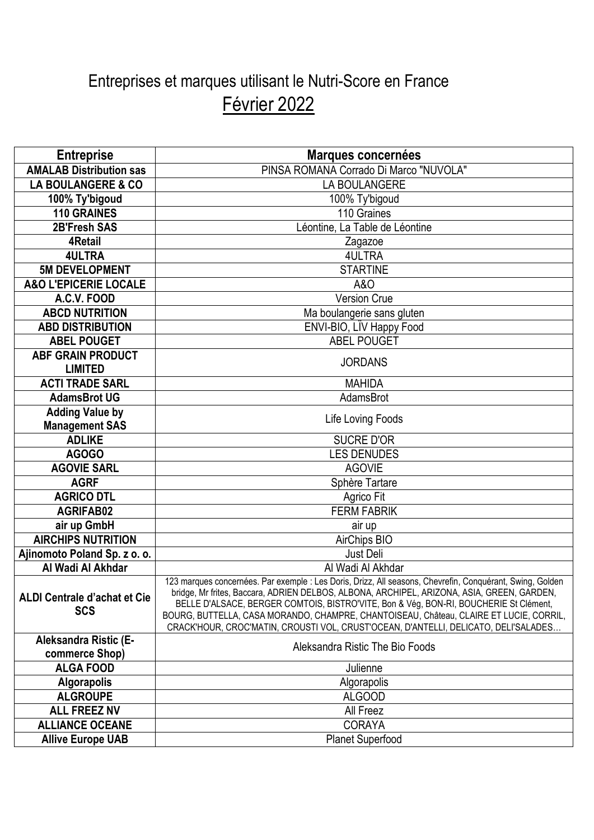## Entreprises et marques utilisant le Nutri-Score en France Février 2022

| <b>Entreprise</b>                          | Marques concernées                                                                                                                                                                                                                                                                                                                                                                                                                                                                |
|--------------------------------------------|-----------------------------------------------------------------------------------------------------------------------------------------------------------------------------------------------------------------------------------------------------------------------------------------------------------------------------------------------------------------------------------------------------------------------------------------------------------------------------------|
| <b>AMALAB Distribution sas</b>             | PINSA ROMANA Corrado Di Marco "NUVOLA"                                                                                                                                                                                                                                                                                                                                                                                                                                            |
| <b>LA BOULANGERE &amp; CO</b>              | LA BOULANGERE                                                                                                                                                                                                                                                                                                                                                                                                                                                                     |
| 100% Ty'bigoud                             | 100% Ty'bigoud                                                                                                                                                                                                                                                                                                                                                                                                                                                                    |
| <b>110 GRAINES</b>                         | 110 Graines                                                                                                                                                                                                                                                                                                                                                                                                                                                                       |
| 2B'Fresh SAS                               | Léontine, La Table de Léontine                                                                                                                                                                                                                                                                                                                                                                                                                                                    |
| <b>4Retail</b>                             | Zagazoe                                                                                                                                                                                                                                                                                                                                                                                                                                                                           |
| <b>4ULTRA</b>                              | <b>4ULTRA</b>                                                                                                                                                                                                                                                                                                                                                                                                                                                                     |
| <b>5M DEVELOPMENT</b>                      | <b>STARTINE</b>                                                                                                                                                                                                                                                                                                                                                                                                                                                                   |
| <b>A&amp;O L'EPICERIE LOCALE</b>           | A&O                                                                                                                                                                                                                                                                                                                                                                                                                                                                               |
| A.C.V. FOOD                                | <b>Version Crue</b>                                                                                                                                                                                                                                                                                                                                                                                                                                                               |
| <b>ABCD NUTRITION</b>                      | Ma boulangerie sans gluten                                                                                                                                                                                                                                                                                                                                                                                                                                                        |
| <b>ABD DISTRIBUTION</b>                    | ENVI-BIO, LÏV Happy Food                                                                                                                                                                                                                                                                                                                                                                                                                                                          |
| <b>ABEL POUGET</b>                         | <b>ABEL POUGET</b>                                                                                                                                                                                                                                                                                                                                                                                                                                                                |
| <b>ABF GRAIN PRODUCT</b>                   | <b>JORDANS</b>                                                                                                                                                                                                                                                                                                                                                                                                                                                                    |
| <b>LIMITED</b>                             |                                                                                                                                                                                                                                                                                                                                                                                                                                                                                   |
| <b>ACTI TRADE SARL</b>                     | <b>MAHIDA</b>                                                                                                                                                                                                                                                                                                                                                                                                                                                                     |
| <b>AdamsBrot UG</b>                        | AdamsBrot                                                                                                                                                                                                                                                                                                                                                                                                                                                                         |
| <b>Adding Value by</b>                     | Life Loving Foods                                                                                                                                                                                                                                                                                                                                                                                                                                                                 |
| <b>Management SAS</b>                      |                                                                                                                                                                                                                                                                                                                                                                                                                                                                                   |
| <b>ADLIKE</b>                              | <b>SUCRE D'OR</b>                                                                                                                                                                                                                                                                                                                                                                                                                                                                 |
| AGOGO                                      | <b>LES DENUDES</b>                                                                                                                                                                                                                                                                                                                                                                                                                                                                |
| <b>AGOVIE SARL</b>                         | <b>AGOVIE</b>                                                                                                                                                                                                                                                                                                                                                                                                                                                                     |
| <b>AGRF</b>                                | Sphère Tartare                                                                                                                                                                                                                                                                                                                                                                                                                                                                    |
| <b>AGRICO DTL</b>                          | Agrico Fit                                                                                                                                                                                                                                                                                                                                                                                                                                                                        |
| <b>AGRIFAB02</b>                           | <b>FERM FABRIK</b>                                                                                                                                                                                                                                                                                                                                                                                                                                                                |
| air up GmbH                                | air up                                                                                                                                                                                                                                                                                                                                                                                                                                                                            |
| <b>AIRCHIPS NUTRITION</b>                  | AirChips BIO                                                                                                                                                                                                                                                                                                                                                                                                                                                                      |
| Ajinomoto Poland Sp. z o. o.               | Just Deli                                                                                                                                                                                                                                                                                                                                                                                                                                                                         |
| Al Wadi Al Akhdar                          | Al Wadi Al Akhdar                                                                                                                                                                                                                                                                                                                                                                                                                                                                 |
| ALDI Centrale d'achat et Cie<br><b>SCS</b> | 123 marques concernées. Par exemple : Les Doris, Drizz, All seasons, Chevrefin, Conquérant, Swing, Golden<br>bridge, Mr frites, Baccara, ADRIEN DELBOS, ALBONA, ARCHIPEL, ARIZONA, ASIA, GREEN, GARDEN,<br>BELLE D'ALSACE, BERGER COMTOIS, BISTRO'VITE, Bon & Vég, BON-RI, BOUCHERIE St Clément,<br>BOURG, BUTTELLA, CASA MORANDO, CHAMPRE, CHANTOISEAU, Château, CLAIRE ET LUCIE, CORRIL,<br>CRACK'HOUR, CROC'MATIN, CROUSTI VOL, CRUST'OCEAN, D'ANTELLI, DELICATO, DELI'SALADES |
| Aleksandra Ristic (E-                      | Aleksandra Ristic The Bio Foods                                                                                                                                                                                                                                                                                                                                                                                                                                                   |
| commerce Shop)                             |                                                                                                                                                                                                                                                                                                                                                                                                                                                                                   |
| <b>ALGA FOOD</b>                           | Julienne                                                                                                                                                                                                                                                                                                                                                                                                                                                                          |
| <b>Algorapolis</b>                         | Algorapolis                                                                                                                                                                                                                                                                                                                                                                                                                                                                       |
| <b>ALGROUPE</b>                            | <b>ALGOOD</b>                                                                                                                                                                                                                                                                                                                                                                                                                                                                     |
| <b>ALL FREEZ NV</b>                        | All Freez                                                                                                                                                                                                                                                                                                                                                                                                                                                                         |
| <b>ALLIANCE OCEANE</b>                     | <b>CORAYA</b>                                                                                                                                                                                                                                                                                                                                                                                                                                                                     |
| <b>Allive Europe UAB</b>                   | <b>Planet Superfood</b>                                                                                                                                                                                                                                                                                                                                                                                                                                                           |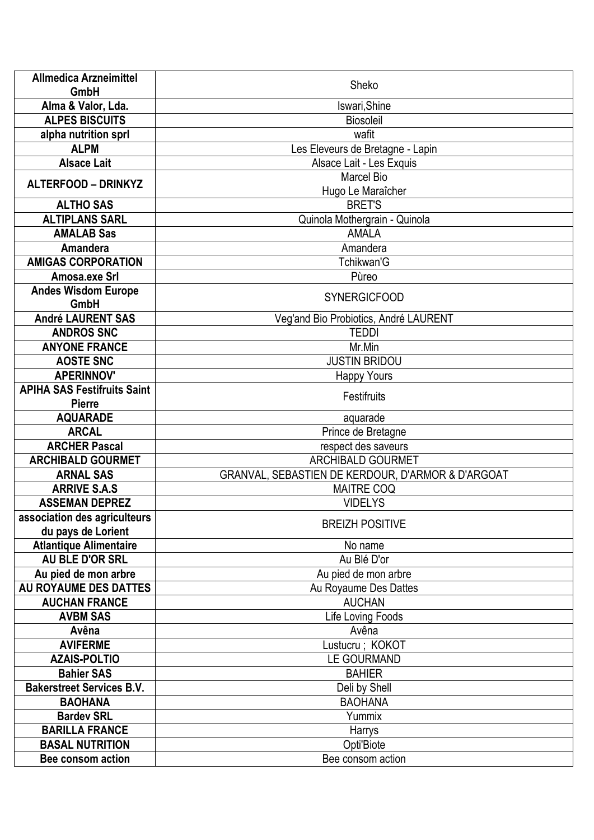| <b>Allmedica Arzneimittel</b>      | Sheko                                             |
|------------------------------------|---------------------------------------------------|
| <b>GmbH</b>                        |                                                   |
| Alma & Valor, Lda.                 | Iswari, Shine                                     |
| <b>ALPES BISCUITS</b>              | <b>Biosoleil</b>                                  |
| alpha nutrition sprl               | wafit                                             |
| <b>ALPM</b>                        | Les Eleveurs de Bretagne - Lapin                  |
| <b>Alsace Lait</b>                 | Alsace Lait - Les Exquis                          |
| <b>ALTERFOOD - DRINKYZ</b>         | <b>Marcel Bio</b>                                 |
|                                    | Hugo Le Maraîcher                                 |
| <b>ALTHO SAS</b>                   | <b>BRET'S</b>                                     |
| <b>ALTIPLANS SARL</b>              | Quinola Mothergrain - Quinola                     |
| <b>AMALAB Sas</b>                  | <b>AMALA</b>                                      |
| Amandera                           | Amandera                                          |
| <b>AMIGAS CORPORATION</b>          | Tchikwan'G                                        |
| Amosa.exe Srl                      | Pùreo                                             |
| <b>Andes Wisdom Europe</b>         | <b>SYNERGICFOOD</b>                               |
| <b>GmbH</b>                        |                                                   |
| <b>André LAURENT SAS</b>           | Veg'and Bio Probiotics, André LAURENT             |
| <b>ANDROS SNC</b>                  | <b>TEDDI</b>                                      |
| <b>ANYONE FRANCE</b>               | Mr.Min                                            |
| <b>AOSTE SNC</b>                   | <b>JUSTIN BRIDOU</b>                              |
| <b>APERINNOV'</b>                  | <b>Happy Yours</b>                                |
| <b>APIHA SAS Festifruits Saint</b> | Festifruits                                       |
| <b>Pierre</b>                      |                                                   |
| <b>AQUARADE</b>                    | aquarade                                          |
| <b>ARCAL</b>                       | Prince de Bretagne                                |
| <b>ARCHER Pascal</b>               | respect des saveurs                               |
| <b>ARCHIBALD GOURMET</b>           | <b>ARCHIBALD GOURMET</b>                          |
| <b>ARNAL SAS</b>                   | GRANVAL, SEBASTIEN DE KERDOUR, D'ARMOR & D'ARGOAT |
| <b>ARRIVE S.A.S</b>                | <b>MAITRE COQ</b>                                 |
| <b>ASSEMAN DEPREZ</b>              | <b>VIDELYS</b>                                    |
| association des agriculteurs       |                                                   |
| du pays de Lorient                 | <b>BREIZH POSITIVE</b>                            |
| <b>Atlantique Alimentaire</b>      | No name                                           |
| AU BLE D'OR SRL                    | Au Blé D'or                                       |
| Au pied de mon arbre               | Au pied de mon arbre                              |
| AU ROYAUME DES DATTES              | Au Royaume Des Dattes                             |
| <b>AUCHAN FRANCE</b>               | <b>AUCHAN</b>                                     |
| <b>AVBM SAS</b>                    | Life Loving Foods                                 |
| Avêna                              | Avêna                                             |
| <b>AVIFERME</b>                    | Lustucru; KOKOT                                   |
| <b>AZAIS-POLTIO</b>                | <b>LE GOURMAND</b>                                |
| <b>Bahier SAS</b>                  | <b>BAHIER</b>                                     |
| <b>Bakerstreet Services B.V.</b>   | Deli by Shell                                     |
| <b>BAOHANA</b>                     | <b>BAOHANA</b>                                    |
| <b>Bardev SRL</b>                  | Yummix                                            |
| <b>BARILLA FRANCE</b>              | Harrys                                            |
| <b>BASAL NUTRITION</b>             | Opti'Biote                                        |
| Bee consom action                  | Bee consom action                                 |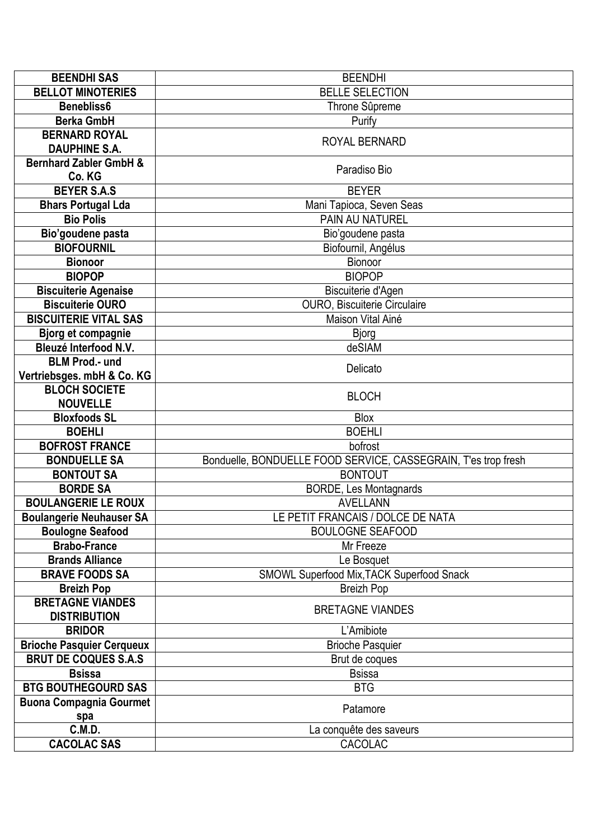| <b>BEENDHI SAS</b>                | <b>BEENDHI</b>                                                 |
|-----------------------------------|----------------------------------------------------------------|
| <b>BELLOT MINOTERIES</b>          | <b>BELLE SELECTION</b>                                         |
| Benebliss6                        | Throne Sûpreme                                                 |
| <b>Berka GmbH</b>                 | Purify                                                         |
| <b>BERNARD ROYAL</b>              | ROYAL BERNARD                                                  |
| <b>DAUPHINE S.A.</b>              |                                                                |
| <b>Bernhard Zabler GmbH &amp;</b> | Paradiso Bio                                                   |
| Co. KG                            |                                                                |
| <b>BEYER S.A.S</b>                | <b>BEYER</b>                                                   |
| <b>Bhars Portugal Lda</b>         | Mani Tapioca, Seven Seas                                       |
| <b>Bio Polis</b>                  | <b>PAIN AU NATUREL</b>                                         |
| Bio'goudene pasta                 | Bio'goudene pasta                                              |
| <b>BIOFOURNIL</b>                 | Biofournil, Angélus                                            |
| <b>Bionoor</b>                    | Bionoor                                                        |
| <b>BIOPOP</b>                     | <b>BIOPOP</b>                                                  |
| <b>Biscuiterie Agenaise</b>       | Biscuiterie d'Agen                                             |
| <b>Biscuiterie OURO</b>           | OURO, Biscuiterie Circulaire                                   |
| <b>BISCUITERIE VITAL SAS</b>      | Maison Vital Ainé                                              |
| <b>Bjorg et compagnie</b>         | <b>Bjorg</b>                                                   |
| <b>Bleuzé Interfood N.V.</b>      | deSIAM                                                         |
| <b>BLM Prod.- und</b>             | Delicato                                                       |
| Vertriebsges. mbH & Co. KG        |                                                                |
| <b>BLOCH SOCIETE</b>              | <b>BLOCH</b>                                                   |
| <b>NOUVELLE</b>                   |                                                                |
| <b>Bloxfoods SL</b>               | <b>Blox</b>                                                    |
| <b>BOEHLI</b>                     | <b>BOEHLI</b>                                                  |
| <b>BOFROST FRANCE</b>             | bofrost                                                        |
| <b>BONDUELLE SA</b>               | Bonduelle, BONDUELLE FOOD SERVICE, CASSEGRAIN, T'es trop fresh |
| <b>BONTOUT SA</b>                 | <b>BONTOUT</b>                                                 |
| <b>BORDE SA</b>                   | <b>BORDE, Les Montagnards</b>                                  |
| <b>BOULANGERIE LE ROUX</b>        | <b>AVELLANN</b>                                                |
| <b>Boulangerie Neuhauser SA</b>   | LE PETIT FRANCAIS / DOLCE DE NATA                              |
| <b>Boulogne Seafood</b>           | <b>BOULOGNE SEAFOOD</b>                                        |
| <b>Brabo-France</b>               | Mr Freeze                                                      |
| <b>Brands Alliance</b>            | Le Bosquet                                                     |
| <b>BRAVE FOODS SA</b>             | SMOWL Superfood Mix, TACK Superfood Snack                      |
| <b>Breizh Pop</b>                 | <b>Breizh Pop</b>                                              |
| <b>BRETAGNE VIANDES</b>           | <b>BRETAGNE VIANDES</b>                                        |
| <b>DISTRIBUTION</b>               |                                                                |
| <b>BRIDOR</b>                     | L'Amibiote                                                     |
| <b>Brioche Pasquier Cerqueux</b>  | <b>Brioche Pasquier</b>                                        |
| <b>BRUT DE COQUES S.A.S</b>       | Brut de coques                                                 |
| <b>Bsissa</b>                     | <b>Bsissa</b>                                                  |
| <b>BTG BOUTHEGOURD SAS</b>        | <b>BTG</b>                                                     |
| <b>Buona Compagnia Gourmet</b>    | Patamore                                                       |
| spa                               |                                                                |
| C.M.D.                            | La conquête des saveurs                                        |
| <b>CACOLAC SAS</b>                | CACOLAC                                                        |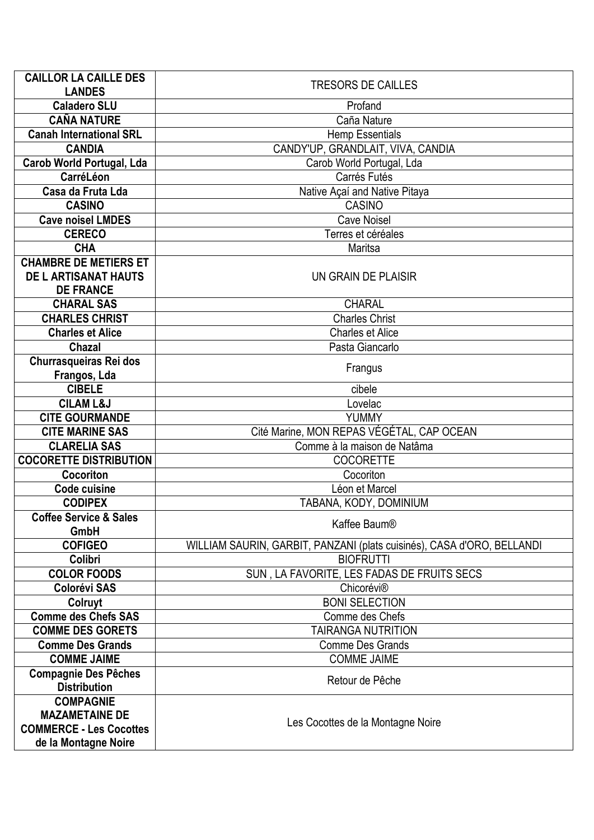| <b>CAILLOR LA CAILLE DES</b>      | <b>TRESORS DE CAILLES</b>                                              |
|-----------------------------------|------------------------------------------------------------------------|
| <b>LANDES</b>                     |                                                                        |
| <b>Caladero SLU</b>               | Profand                                                                |
| <b>CAÑA NATURE</b>                | Caña Nature                                                            |
| <b>Canah International SRL</b>    | <b>Hemp Essentials</b>                                                 |
| <b>CANDIA</b>                     | CANDY'UP, GRANDLAIT, VIVA, CANDIA                                      |
| <b>Carob World Portugal, Lda</b>  | Carob World Portugal, Lda                                              |
| CarréLéon                         | Carrés Futés                                                           |
| Casa da Fruta Lda                 | Native Açaí and Native Pitaya                                          |
| <b>CASINO</b>                     | <b>CASINO</b>                                                          |
| <b>Cave noisel LMDES</b>          | <b>Cave Noisel</b>                                                     |
| <b>CERECO</b>                     | Terres et céréales                                                     |
| <b>CHA</b>                        | Maritsa                                                                |
| <b>CHAMBRE DE METIERS ET</b>      |                                                                        |
| <b>DE L ARTISANAT HAUTS</b>       | UN GRAIN DE PLAISIR                                                    |
| <b>DE FRANCE</b>                  |                                                                        |
| <b>CHARAL SAS</b>                 | <b>CHARAL</b>                                                          |
| <b>CHARLES CHRIST</b>             | <b>Charles Christ</b>                                                  |
| <b>Charles et Alice</b>           | <b>Charles et Alice</b>                                                |
| <b>Chazal</b>                     | Pasta Giancarlo                                                        |
| <b>Churrasqueiras Rei dos</b>     | Frangus                                                                |
| Frangos, Lda                      |                                                                        |
| <b>CIBELE</b>                     | cibele                                                                 |
| <b>CILAM L&amp;J</b>              | Lovelac                                                                |
| <b>CITE GOURMANDE</b>             | <b>YUMMY</b>                                                           |
| <b>CITE MARINE SAS</b>            | Cité Marine, MON REPAS VÉGÉTAL, CAP OCEAN                              |
| <b>CLARELIA SAS</b>               | Comme à la maison de Natâma                                            |
| <b>COCORETTE DISTRIBUTION</b>     | <b>COCORETTE</b>                                                       |
| Cocoriton                         | Cocoriton                                                              |
| <b>Code cuisine</b>               | Léon et Marcel                                                         |
| <b>CODIPEX</b>                    | TABANA, KODY, DOMINIUM                                                 |
| <b>Coffee Service &amp; Sales</b> | Kaffee Baum <sup>®</sup>                                               |
| GmbH                              |                                                                        |
| <b>COFIGEO</b>                    | WILLIAM SAURIN, GARBIT, PANZANI (plats cuisinés), CASA d'ORO, BELLANDI |
| Colibri                           | <b>BIOFRUTTI</b>                                                       |
| <b>COLOR FOODS</b>                | SUN, LA FAVORITE, LES FADAS DE FRUITS SECS                             |
| <b>Colorévi SAS</b>               | Chicorévi <sup>®</sup>                                                 |
| Colruyt                           | <b>BONI SELECTION</b>                                                  |
| <b>Comme des Chefs SAS</b>        | Comme des Chefs                                                        |
| <b>COMME DES GORETS</b>           | <b>TAIRANGA NUTRITION</b>                                              |
| <b>Comme Des Grands</b>           | <b>Comme Des Grands</b>                                                |
| <b>COMME JAIME</b>                | <b>COMME JAIME</b>                                                     |
| <b>Compagnie Des Pêches</b>       | Retour de Pêche                                                        |
| <b>Distribution</b>               |                                                                        |
| <b>COMPAGNIE</b>                  |                                                                        |
| <b>MAZAMETAINE DE</b>             | Les Cocottes de la Montagne Noire                                      |
| <b>COMMERCE - Les Cocottes</b>    |                                                                        |
| de la Montagne Noire              |                                                                        |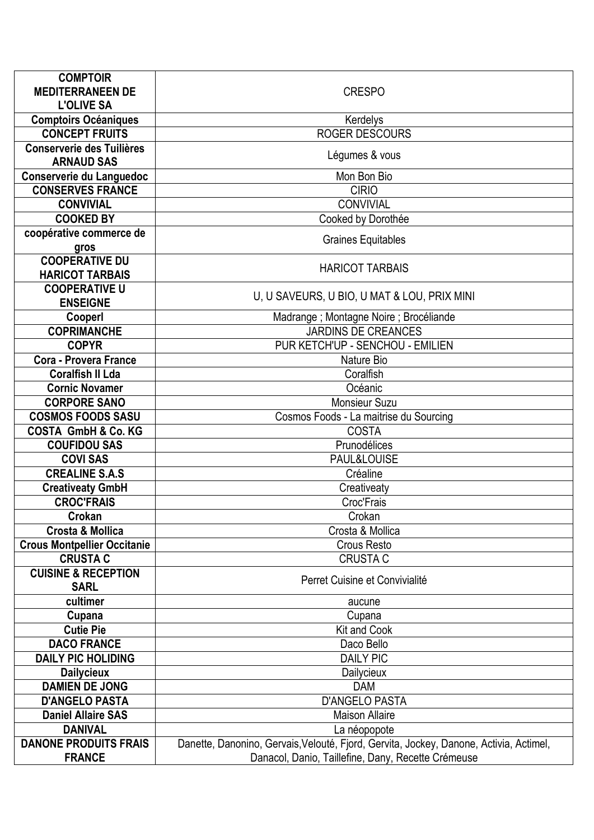| <b>COMPTOIR</b><br><b>MEDITERRANEEN DE</b>        | <b>CRESPO</b>                                                                          |
|---------------------------------------------------|----------------------------------------------------------------------------------------|
| <b>L'OLIVE SA</b>                                 |                                                                                        |
| <b>Comptoirs Océaniques</b>                       | Kerdelys                                                                               |
| <b>CONCEPT FRUITS</b>                             | <b>ROGER DESCOURS</b>                                                                  |
| <b>Conserverie des Tuilières</b>                  |                                                                                        |
| <b>ARNAUD SAS</b>                                 | Légumes & vous                                                                         |
| Conserverie du Languedoc                          | Mon Bon Bio                                                                            |
| <b>CONSERVES FRANCE</b>                           | <b>CIRIO</b>                                                                           |
| <b>CONVIVIAL</b>                                  | <b>CONVIVIAL</b>                                                                       |
| <b>COOKED BY</b>                                  | Cooked by Dorothée                                                                     |
| coopérative commerce de                           |                                                                                        |
| gros                                              | <b>Graines Equitables</b>                                                              |
| <b>COOPERATIVE DU</b>                             | <b>HARICOT TARBAIS</b>                                                                 |
| <b>HARICOT TARBAIS</b>                            |                                                                                        |
| <b>COOPERATIVE U</b>                              | U, U SAVEURS, U BIO, U MAT & LOU, PRIX MINI                                            |
| <b>ENSEIGNE</b>                                   |                                                                                        |
| Cooperl                                           | Madrange ; Montagne Noire ; Brocéliande                                                |
| <b>COPRIMANCHE</b>                                | <b>JARDINS DE CREANCES</b>                                                             |
| <b>COPYR</b>                                      | PUR KETCH'UP - SENCHOU - EMILIEN                                                       |
| <b>Cora - Provera France</b>                      | Nature Bio                                                                             |
| <b>Coralfish II Lda</b>                           | Coralfish                                                                              |
| <b>Cornic Novamer</b>                             | Océanic                                                                                |
| <b>CORPORE SANO</b>                               | <b>Monsieur Suzu</b>                                                                   |
| <b>COSMOS FOODS SASU</b>                          | Cosmos Foods - La maitrise du Sourcing                                                 |
| <b>COSTA GmbH &amp; Co. KG</b>                    | <b>COSTA</b>                                                                           |
| <b>COUFIDOU SAS</b>                               | Prunodélices                                                                           |
| <b>COVI SAS</b>                                   | PAUL&LOUISE                                                                            |
| <b>CREALINE S.A.S</b>                             | Créaline                                                                               |
| <b>Creativeaty GmbH</b>                           | Creativeaty                                                                            |
| <b>CROC'FRAIS</b>                                 | Croc'Frais                                                                             |
| Crokan                                            | Crokan                                                                                 |
| <b>Crosta &amp; Mollica</b>                       | Crosta & Mollica                                                                       |
| <b>Crous Montpellier Occitanie</b>                | Crous Resto                                                                            |
| <b>CRUSTA C</b><br><b>CUISINE &amp; RECEPTION</b> | <b>CRUSTA C</b>                                                                        |
| <b>SARL</b>                                       | Perret Cuisine et Convivialité                                                         |
| cultimer                                          | aucune                                                                                 |
| Cupana                                            | Cupana                                                                                 |
| <b>Cutie Pie</b>                                  | Kit and Cook                                                                           |
| <b>DACO FRANCE</b>                                | Daco Bello                                                                             |
| <b>DAILY PIC HOLIDING</b>                         | <b>DAILY PIC</b>                                                                       |
| <b>Dailycieux</b>                                 | Dailycieux                                                                             |
| <b>DAMIEN DE JONG</b>                             | <b>DAM</b>                                                                             |
| <b>D'ANGELO PASTA</b>                             | <b>D'ANGELO PASTA</b>                                                                  |
| <b>Daniel Allaire SAS</b>                         | <b>Maison Allaire</b>                                                                  |
| <b>DANIVAL</b>                                    | La néopopote                                                                           |
| <b>DANONE PRODUITS FRAIS</b>                      | Danette, Danonino, Gervais, Velouté, Fjord, Gervita, Jockey, Danone, Activia, Actimel, |
| <b>FRANCE</b>                                     | Danacol, Danio, Taillefine, Dany, Recette Crémeuse                                     |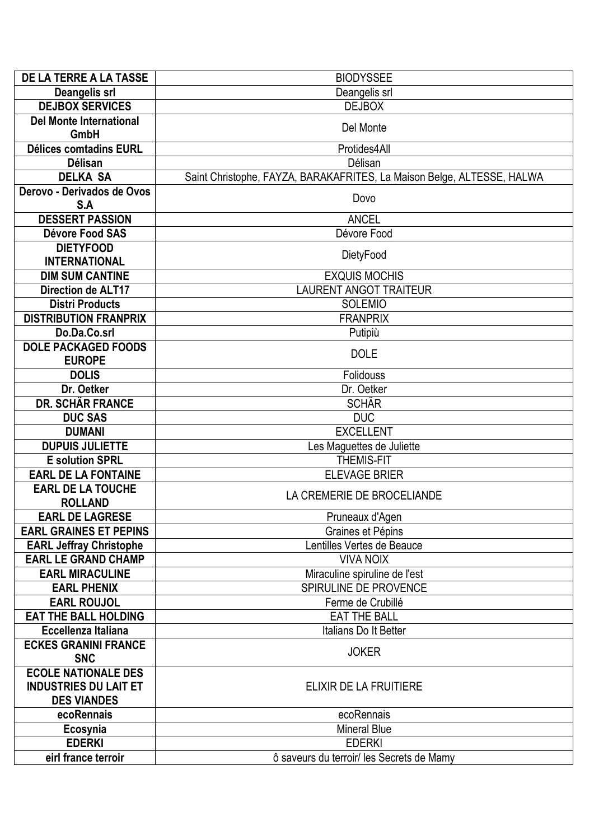| <b>DE LA TERRE A LA TASSE</b>              | <b>BIODYSSEE</b>                                                       |
|--------------------------------------------|------------------------------------------------------------------------|
| <b>Deangelis srl</b>                       | Deangelis srl                                                          |
| <b>DEJBOX SERVICES</b>                     | <b>DEJBOX</b>                                                          |
| <b>Del Monte International</b>             | Del Monte                                                              |
| <b>GmbH</b>                                |                                                                        |
| <b>Délices comtadins EURL</b>              | Protides4All                                                           |
| <b>Délisan</b>                             | Délisan                                                                |
| <b>DELKA SA</b>                            | Saint Christophe, FAYZA, BARAKAFRITES, La Maison Belge, ALTESSE, HALWA |
| Derovo - Derivados de Ovos                 | Dovo                                                                   |
| S.A                                        |                                                                        |
| <b>DESSERT PASSION</b>                     | <b>ANCEL</b>                                                           |
| Dévore Food SAS                            | Dévore Food                                                            |
| <b>DIETYFOOD</b>                           | DietyFood                                                              |
| <b>INTERNATIONAL</b>                       |                                                                        |
| <b>DIM SUM CANTINE</b>                     | <b>EXQUIS MOCHIS</b>                                                   |
| Direction de ALT17                         | <b>LAURENT ANGOT TRAITEUR</b>                                          |
| <b>Distri Products</b>                     | <b>SOLEMIO</b>                                                         |
| <b>DISTRIBUTION FRANPRIX</b>               | <b>FRANPRIX</b>                                                        |
| Do.Da.Co.srl                               | Putipiù                                                                |
| <b>DOLE PACKAGED FOODS</b>                 | <b>DOLE</b>                                                            |
| <b>EUROPE</b>                              |                                                                        |
| <b>DOLIS</b>                               | Folidouss                                                              |
| Dr. Oetker                                 | Dr. Oetker                                                             |
| DR. SCHÄR FRANCE                           | <b>SCHÄR</b>                                                           |
| <b>DUC SAS</b>                             | <b>DUC</b>                                                             |
| <b>DUMANI</b>                              | <b>EXCELLENT</b>                                                       |
| <b>DUPUIS JULIETTE</b>                     | Les Maguettes de Juliette                                              |
| <b>E</b> solution SPRL                     | <b>THEMIS-FIT</b>                                                      |
| <b>EARL DE LA FONTAINE</b>                 | <b>ELEVAGE BRIER</b>                                                   |
| <b>EARL DE LA TOUCHE</b><br><b>ROLLAND</b> | LA CREMERIE DE BROCELIANDE                                             |
| <b>EARL DE LAGRESE</b>                     |                                                                        |
| <b>EARL GRAINES ET PEPINS</b>              | Pruneaux d'Agen<br>Graines et Pépins                                   |
| <b>EARL Jeffray Christophe</b>             | Lentilles Vertes de Beauce                                             |
| <b>EARL LE GRAND CHAMP</b>                 | <b>VIVA NOIX</b>                                                       |
| <b>EARL MIRACULINE</b>                     | Miraculine spiruline de l'est                                          |
| <b>EARL PHENIX</b>                         | SPIRULINE DE PROVENCE                                                  |
| <b>EARL ROUJOL</b>                         | Ferme de Crubillé                                                      |
| <b>EAT THE BALL HOLDING</b>                | <b>EAT THE BALL</b>                                                    |
| Eccellenza Italiana                        | Italians Do It Better                                                  |
| <b>ECKES GRANINI FRANCE</b>                |                                                                        |
| <b>SNC</b>                                 | <b>JOKER</b>                                                           |
| <b>ECOLE NATIONALE DES</b>                 |                                                                        |
| <b>INDUSTRIES DU LAIT ET</b>               | ELIXIR DE LA FRUITIERE                                                 |
| <b>DES VIANDES</b>                         |                                                                        |
| ecoRennais                                 | ecoRennais                                                             |
| Ecosynia                                   | <b>Mineral Blue</b>                                                    |
| <b>EDERKI</b>                              | <b>EDERKI</b>                                                          |
| eirl france terroir                        | ô saveurs du terroir/ les Secrets de Mamy                              |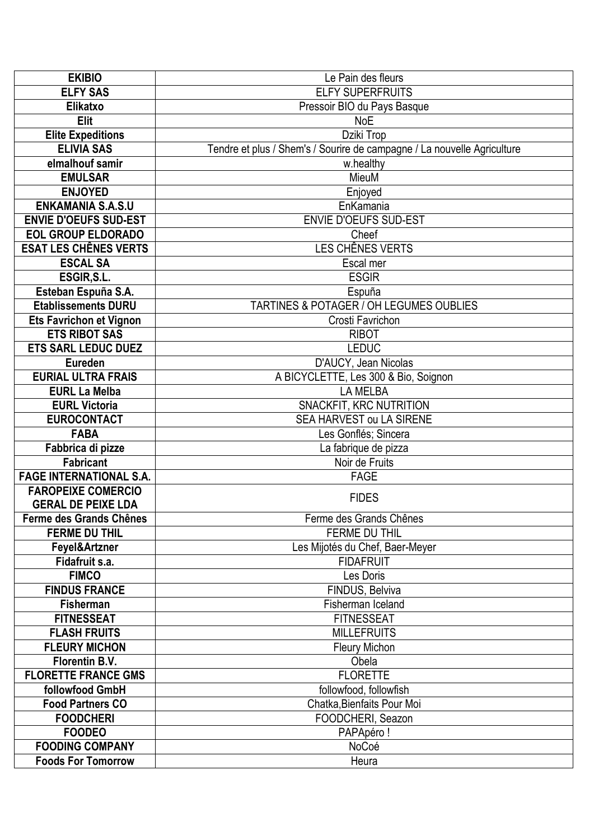| <b>EKIBIO</b>                  | Le Pain des fleurs                                                      |
|--------------------------------|-------------------------------------------------------------------------|
| <b>ELFY SAS</b>                | <b>ELFY SUPERFRUITS</b>                                                 |
| Elikatxo                       | Pressoir BIO du Pays Basque                                             |
| <b>Elit</b>                    | <b>NoE</b>                                                              |
| <b>Elite Expeditions</b>       | Dziki Trop                                                              |
| <b>ELIVIA SAS</b>              | Tendre et plus / Shem's / Sourire de campagne / La nouvelle Agriculture |
| elmalhouf samir                | w.healthy                                                               |
| <b>EMULSAR</b>                 | MieuM                                                                   |
| <b>ENJOYED</b>                 | Enjoyed                                                                 |
| <b>ENKAMANIA S.A.S.U</b>       | EnKamania                                                               |
| <b>ENVIE D'OEUFS SUD-EST</b>   | <b>ENVIE D'OEUFS SUD-EST</b>                                            |
| <b>EOL GROUP ELDORADO</b>      | Cheef                                                                   |
| <b>ESAT LES CHÊNES VERTS</b>   | LES CHÊNES VERTS                                                        |
| <b>ESCAL SA</b>                | Escal mer                                                               |
| ESGIR, S.L.                    | <b>ESGIR</b>                                                            |
| Esteban Espuña S.A.            | Espuña                                                                  |
| <b>Etablissements DURU</b>     | TARTINES & POTAGER / OH LEGUMES OUBLIES                                 |
| <b>Ets Favrichon et Vignon</b> | Crosti Favrichon                                                        |
| <b>ETS RIBOT SAS</b>           | <b>RIBOT</b>                                                            |
| <b>ETS SARL LEDUC DUEZ</b>     | <b>LEDUC</b>                                                            |
| <b>Eureden</b>                 | D'AUCY, Jean Nicolas                                                    |
| <b>EURIAL ULTRA FRAIS</b>      | A BICYCLETTE, Les 300 & Bio, Soignon                                    |
| <b>EURL La Melba</b>           | <b>LA MELBA</b>                                                         |
| <b>EURL Victoria</b>           | SNACKFIT, KRC NUTRITION                                                 |
| <b>EUROCONTACT</b>             | SEA HARVEST ou LA SIRENE                                                |
| <b>FABA</b>                    | Les Gonflés; Sincera                                                    |
| Fabbrica di pizze              | La fabrique de pizza                                                    |
| <b>Fabricant</b>               | Noir de Fruits                                                          |
| <b>FAGE INTERNATIONAL S.A.</b> | <b>FAGE</b>                                                             |
| <b>FAROPEIXE COMERCIO</b>      | <b>FIDES</b>                                                            |
| <b>GERAL DE PEIXE LDA</b>      |                                                                         |
| Ferme des Grands Chênes        | Ferme des Grands Chênes                                                 |
| <b>FERME DU THIL</b>           | <b>FERME DU THIL</b>                                                    |
| Feyel&Artzner                  | Les Mijotés du Chef, Baer-Meyer                                         |
| Fidafruit s.a.                 | <b>FIDAFRUIT</b>                                                        |
| <b>FIMCO</b>                   | Les Doris                                                               |
| <b>FINDUS FRANCE</b>           | FINDUS, Belviva                                                         |
| Fisherman                      | Fisherman Iceland                                                       |
| <b>FITNESSEAT</b>              | <b>FITNESSEAT</b>                                                       |
| <b>FLASH FRUITS</b>            | <b>MILLEFRUITS</b>                                                      |
| <b>FLEURY MICHON</b>           | <b>Fleury Michon</b>                                                    |
| Florentin B.V.                 | Obela                                                                   |
| <b>FLORETTE FRANCE GMS</b>     | <b>FLORETTE</b>                                                         |
| followfood GmbH                | followfood, followfish                                                  |
| <b>Food Partners CO</b>        | Chatka, Bienfaits Pour Moi                                              |
| <b>FOODCHERI</b>               | FOODCHERI, Seazon                                                       |
| <b>FOODEO</b>                  | PAPApéro!                                                               |
| <b>FOODING COMPANY</b>         | NoCoé                                                                   |
| <b>Foods For Tomorrow</b>      | Heura                                                                   |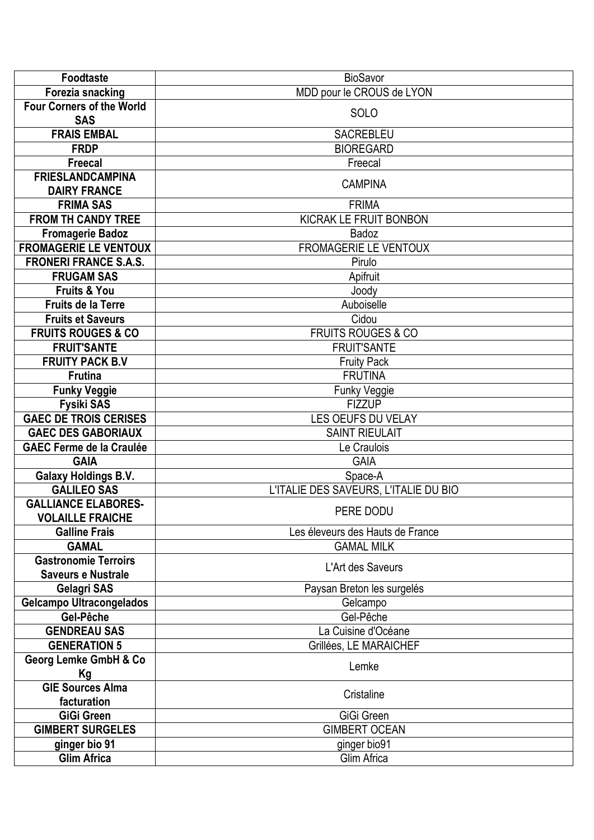| <b>Foodtaste</b>                           | <b>BioSavor</b>                       |
|--------------------------------------------|---------------------------------------|
| Forezia snacking                           | MDD pour le CROUS de LYON             |
| <b>Four Corners of the World</b>           | SOLO                                  |
| <b>SAS</b>                                 |                                       |
| <b>FRAIS EMBAL</b>                         | SACREBLEU                             |
| <b>FRDP</b>                                | <b>BIOREGARD</b>                      |
| <b>Freecal</b>                             | Freecal                               |
| <b>FRIESLANDCAMPINA</b>                    | <b>CAMPINA</b>                        |
| <b>DAIRY FRANCE</b>                        |                                       |
| <b>FRIMA SAS</b>                           | <b>FRIMA</b>                          |
| <b>FROM TH CANDY TREE</b>                  | KICRAK LE FRUIT BONBON                |
| <b>Fromagerie Badoz</b>                    | Badoz                                 |
| <b>FROMAGERIE LE VENTOUX</b>               | <b>FROMAGERIE LE VENTOUX</b>          |
| <b>FRONERI FRANCE S.A.S.</b>               | Pirulo                                |
| <b>FRUGAM SAS</b>                          | Apifruit                              |
| <b>Fruits &amp; You</b>                    | Joody                                 |
| <b>Fruits de la Terre</b>                  | Auboiselle                            |
| <b>Fruits et Saveurs</b>                   | Cidou                                 |
| <b>FRUITS ROUGES &amp; CO</b>              | <b>FRUITS ROUGES &amp; CO</b>         |
| <b>FRUIT'SANTE</b>                         | <b>FRUIT'SANTE</b>                    |
| <b>FRUITY PACK B.V</b>                     | <b>Fruity Pack</b>                    |
| <b>Frutina</b>                             | <b>FRUTINA</b>                        |
| <b>Funky Veggie</b>                        | Funky Veggie                          |
| <b>Fysiki SAS</b>                          | <b>FIZZUP</b>                         |
| <b>GAEC DE TROIS CERISES</b>               | LES OEUFS DU VELAY                    |
| <b>GAEC DES GABORIAUX</b>                  | <b>SAINT RIEULAIT</b>                 |
| <b>GAEC Ferme de la Craulée</b>            | Le Craulois                           |
| <b>GAIA</b>                                | <b>GAIA</b>                           |
| <b>Galaxy Holdings B.V.</b>                | Space-A                               |
| <b>GALILEO SAS</b>                         | L'ITALIE DES SAVEURS, L'ITALIE DU BIO |
| <b>GALLIANCE ELABORES-</b>                 | PERE DODU                             |
| <b>VOLAILLE FRAICHE</b>                    |                                       |
| <b>Galline Frais</b>                       | Les éleveurs des Hauts de France      |
| <b>GAMAL</b>                               | <b>GAMAL MILK</b>                     |
| <b>Gastronomie Terroirs</b>                | L'Art des Saveurs                     |
| <b>Saveurs e Nustrale</b>                  |                                       |
| <b>Gelagri SAS</b>                         | Paysan Breton les surgelés            |
| <b>Gelcampo Ultracongelados</b>            | Gelcampo                              |
| Gel-Pêche                                  | Gel-Pêche                             |
| <b>GENDREAU SAS</b><br><b>GENERATION 5</b> | La Cuisine d'Océane                   |
|                                            | Grillées, LE MARAICHEF                |
| <b>Georg Lemke GmbH &amp; Co</b>           | Lemke                                 |
| Кg<br><b>GIE Sources Alma</b>              |                                       |
| facturation                                | Cristaline                            |
| <b>GiGi Green</b>                          | GiGi Green                            |
| <b>GIMBERT SURGELES</b>                    | <b>GIMBERT OCEAN</b>                  |
| ginger bio 91                              | ginger bio91                          |
| <b>Glim Africa</b>                         | Glim Africa                           |
|                                            |                                       |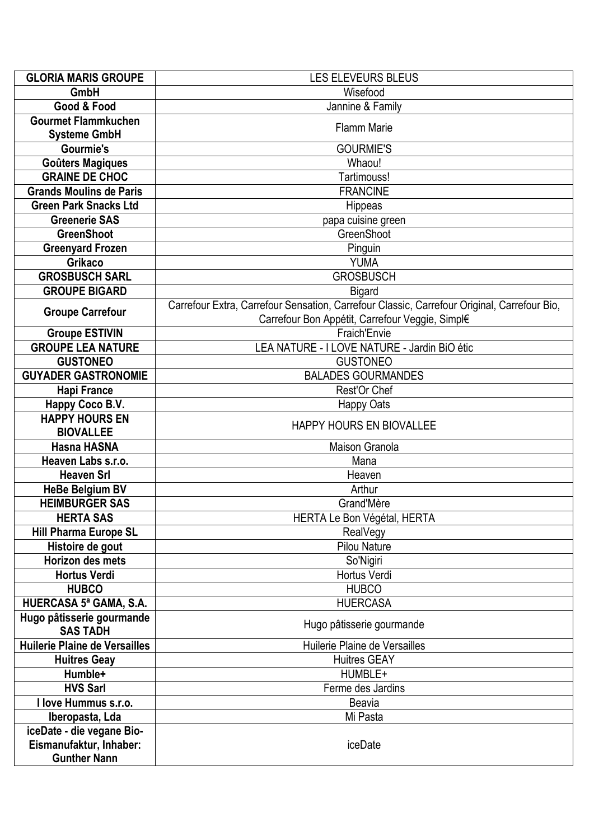| <b>GLORIA MARIS GROUPE</b>                        | LES ELEVEURS BLEUS                                                                          |
|---------------------------------------------------|---------------------------------------------------------------------------------------------|
| GmbH                                              | Wisefood                                                                                    |
| Good & Food                                       | Jannine & Family                                                                            |
| <b>Gourmet Flammkuchen</b><br><b>Systeme GmbH</b> | <b>Flamm Marie</b>                                                                          |
| <b>Gourmie's</b>                                  | <b>GOURMIE'S</b>                                                                            |
| <b>Goûters Magiques</b>                           | Whaou!                                                                                      |
| <b>GRAINE DE CHOC</b>                             | Tartimouss!                                                                                 |
| <b>Grands Moulins de Paris</b>                    | <b>FRANCINE</b>                                                                             |
| <b>Green Park Snacks Ltd</b>                      | <b>Hippeas</b>                                                                              |
| <b>Greenerie SAS</b>                              | papa cuisine green                                                                          |
| <b>GreenShoot</b>                                 | GreenShoot                                                                                  |
| <b>Greenyard Frozen</b>                           | Pinguin                                                                                     |
| Grikaco                                           | <b>YUMA</b>                                                                                 |
| <b>GROSBUSCH SARL</b>                             | <b>GROSBUSCH</b>                                                                            |
| <b>GROUPE BIGARD</b>                              | <b>Bigard</b>                                                                               |
|                                                   | Carrefour Extra, Carrefour Sensation, Carrefour Classic, Carrefour Original, Carrefour Bio, |
| <b>Groupe Carrefour</b>                           | Carrefour Bon Appétit, Carrefour Veggie, Simpl€                                             |
| <b>Groupe ESTIVIN</b>                             | Fraich'Envie                                                                                |
| <b>GROUPE LEA NATURE</b>                          | LEA NATURE - I LOVE NATURE - Jardin BiO étic                                                |
| <b>GUSTONEO</b>                                   | <b>GUSTONEO</b>                                                                             |
| <b>GUYADER GASTRONOMIE</b>                        | <b>BALADES GOURMANDES</b>                                                                   |
| <b>Hapi France</b>                                | Rest'Or Chef                                                                                |
| Happy Coco B.V.                                   | <b>Happy Oats</b>                                                                           |
| <b>HAPPY HOURS EN</b>                             | HAPPY HOURS EN BIOVALLEE                                                                    |
| <b>BIOVALLEE</b>                                  |                                                                                             |
| <b>Hasna HASNA</b>                                | Maison Granola                                                                              |
| Heaven Labs s.r.o.                                | Mana                                                                                        |
| <b>Heaven Srl</b>                                 | Heaven                                                                                      |
| <b>HeBe Belgium BV</b>                            | Arthur                                                                                      |
| <b>HEIMBURGER SAS</b>                             | Grand'Mère                                                                                  |
| <b>HERTA SAS</b>                                  | HERTA Le Bon Végétal, HERTA                                                                 |
| <b>Hill Pharma Europe SL</b>                      | RealVegy                                                                                    |
| Histoire de gout                                  | <b>Pilou Nature</b>                                                                         |
| Horizon des mets                                  | So'Nigiri                                                                                   |
| <b>Hortus Verdi</b>                               | Hortus Verdi                                                                                |
| <b>HUBCO</b>                                      | <b>HUBCO</b>                                                                                |
| HUERCASA 5ª GAMA, S.A.                            | <b>HUERCASA</b>                                                                             |
| Hugo pâtisserie gourmande<br><b>SAS TADH</b>      | Hugo pâtisserie gourmande                                                                   |
| Huilerie Plaine de Versailles                     | Huilerie Plaine de Versailles                                                               |
| <b>Huitres Geay</b>                               | <b>Huitres GEAY</b>                                                                         |
| Humble+                                           | HUMBLE+                                                                                     |
| <b>HVS Sarl</b>                                   | Ferme des Jardins                                                                           |
| I love Hummus s.r.o.                              | <b>Beavia</b>                                                                               |
| Iberopasta, Lda                                   | Mi Pasta                                                                                    |
| iceDate - die vegane Bio-                         |                                                                                             |
| Eismanufaktur, Inhaber:                           | iceDate                                                                                     |
| <b>Gunther Nann</b>                               |                                                                                             |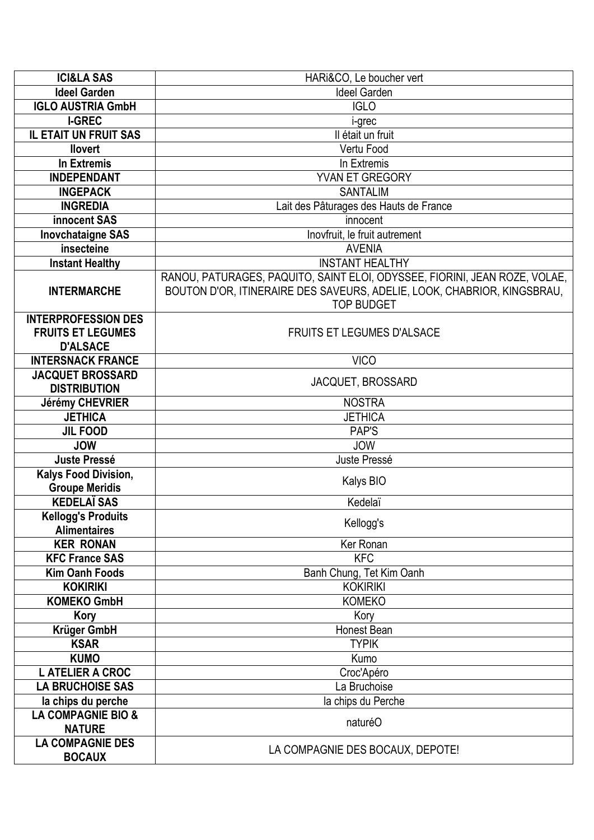| <b>ICI&amp;LA SAS</b>         | HARI&CO, Le boucher vert                                                   |
|-------------------------------|----------------------------------------------------------------------------|
| <b>Ideel Garden</b>           | <b>Ideel Garden</b>                                                        |
| <b>IGLO AUSTRIA GmbH</b>      | <b>IGLO</b>                                                                |
| <b>I-GREC</b>                 | i-grec                                                                     |
| IL ETAIT UN FRUIT SAS         | Il était un fruit                                                          |
| <b>llovert</b>                | Vertu Food                                                                 |
| In Extremis                   | In Extremis                                                                |
| <b>INDEPENDANT</b>            | YVAN ET GREGORY                                                            |
| <b>INGEPACK</b>               | <b>SANTALIM</b>                                                            |
| <b>INGREDIA</b>               | Lait des Pâturages des Hauts de France                                     |
| innocent SAS                  | innocent                                                                   |
| <b>Inovchataigne SAS</b>      | Inovfruit, le fruit autrement                                              |
| insecteine                    | <b>AVENIA</b>                                                              |
| <b>Instant Healthy</b>        | <b>INSTANT HEALTHY</b>                                                     |
|                               | RANOU, PATURAGES, PAQUITO, SAINT ELOI, ODYSSEE, FIORINI, JEAN ROZE, VOLAE, |
| <b>INTERMARCHE</b>            | BOUTON D'OR, ITINERAIRE DES SAVEURS, ADELIE, LOOK, CHABRIOR, KINGSBRAU,    |
|                               | <b>TOP BUDGET</b>                                                          |
| <b>INTERPROFESSION DES</b>    |                                                                            |
| <b>FRUITS ET LEGUMES</b>      | <b>FRUITS ET LEGUMES D'ALSACE</b>                                          |
| <b>D'ALSACE</b>               |                                                                            |
| <b>INTERSNACK FRANCE</b>      | <b>VICO</b>                                                                |
| <b>JACQUET BROSSARD</b>       |                                                                            |
| <b>DISTRIBUTION</b>           | JACQUET, BROSSARD                                                          |
| <b>Jérémy CHEVRIER</b>        | <b>NOSTRA</b>                                                              |
| <b>JETHICA</b>                | <b>JETHICA</b>                                                             |
| <b>JIL FOOD</b>               | PAP'S                                                                      |
| <b>JOW</b>                    | <b>JOW</b>                                                                 |
| <b>Juste Pressé</b>           | Juste Pressé                                                               |
| Kalys Food Division,          |                                                                            |
| <b>Groupe Meridis</b>         | Kalys BIO                                                                  |
| <b>KEDELAÏ SAS</b>            | Kedelaï                                                                    |
| <b>Kellogg's Produits</b>     |                                                                            |
| <b>Alimentaires</b>           | Kellogg's                                                                  |
| <b>KER RONAN</b>              | Ker Ronan                                                                  |
| <b>KFC France SAS</b>         | <b>KFC</b>                                                                 |
| <b>Kim Oanh Foods</b>         | Banh Chung, Tet Kim Oanh                                                   |
| <b>KOKIRIKI</b>               | <b>KOKIRIKI</b>                                                            |
| <b>KOMEKO GmbH</b>            | <b>KOMEKO</b>                                                              |
| Kory                          | Kory                                                                       |
| Krüger GmbH                   | Honest Bean                                                                |
| <b>KSAR</b>                   | <b>TYPIK</b>                                                               |
| <b>KUMO</b>                   | Kumo                                                                       |
| <b>L ATELIER A CROC</b>       | Croc'Apéro                                                                 |
| <b>LA BRUCHOISE SAS</b>       | La Bruchoise                                                               |
| la chips du perche            | la chips du Perche                                                         |
| <b>LA COMPAGNIE BIO &amp;</b> |                                                                            |
| <b>NATURE</b>                 | naturéO                                                                    |
| <b>LA COMPAGNIE DES</b>       |                                                                            |
| <b>BOCAUX</b>                 | LA COMPAGNIE DES BOCAUX, DEPOTE!                                           |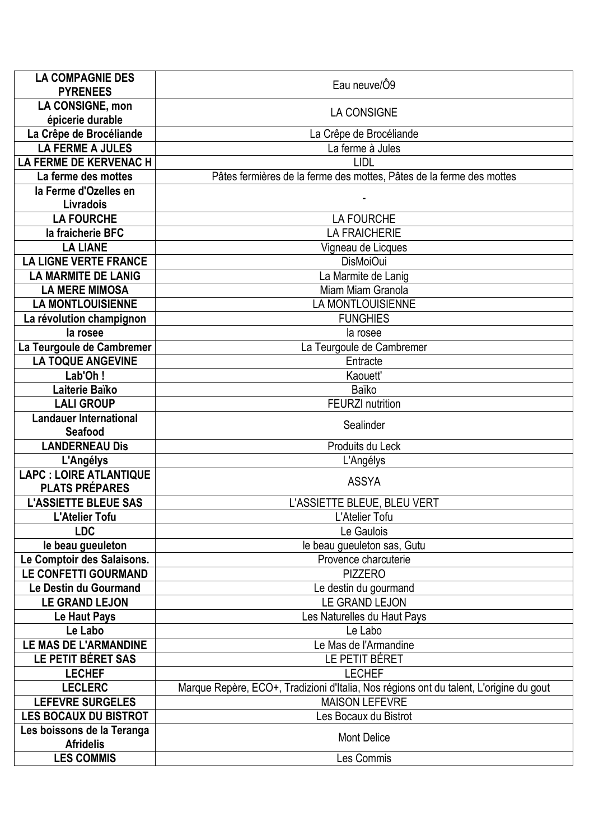| <b>LA COMPAGNIE DES</b><br><b>PYRENEES</b>  | Eau neuve/Ô9                                                                           |
|---------------------------------------------|----------------------------------------------------------------------------------------|
| <b>LA CONSIGNE, mon</b>                     |                                                                                        |
| épicerie durable                            | <b>LA CONSIGNE</b>                                                                     |
| La Crêpe de Brocéliande                     | La Crêpe de Brocéliande                                                                |
| <b>LA FERME A JULES</b>                     | La ferme à Jules                                                                       |
| <b>LA FERME DE KERVENAC H</b>               | LIDL                                                                                   |
| La ferme des mottes                         | Pâtes fermières de la ferme des mottes, Pâtes de la ferme des mottes                   |
| la Ferme d'Ozelles en                       |                                                                                        |
| Livradois                                   |                                                                                        |
| <b>LA FOURCHE</b>                           | <b>LA FOURCHE</b>                                                                      |
| la fraicherie BFC                           | <b>LA FRAICHERIE</b>                                                                   |
| <b>LA LIANE</b>                             | Vigneau de Licques                                                                     |
| <b>LA LIGNE VERTE FRANCE</b>                | DisMoiOui                                                                              |
| <b>LA MARMITE DE LANIG</b>                  | La Marmite de Lanig                                                                    |
| <b>LA MERE MIMOSA</b>                       | Miam Miam Granola                                                                      |
| <b>LA MONTLOUISIENNE</b>                    | LA MONTLOUISIENNE                                                                      |
| La révolution champignon                    | <b>FUNGHIES</b>                                                                        |
| la rosee                                    | la rosee                                                                               |
| La Teurgoule de Cambremer                   | La Teurgoule de Cambremer                                                              |
| <b>LA TOQUE ANGEVINE</b>                    | Entracte                                                                               |
| Lab'Oh!                                     | Kaouett'                                                                               |
| Laiterie Baïko                              | Baïko                                                                                  |
| <b>LALI GROUP</b>                           | <b>FEURZI</b> nutrition                                                                |
| <b>Landauer International</b>               | Sealinder                                                                              |
| <b>Seafood</b><br><b>LANDERNEAU Dis</b>     | Produits du Leck                                                                       |
|                                             |                                                                                        |
| L'Angélys<br><b>LAPC : LOIRE ATLANTIQUE</b> | L'Angélys                                                                              |
| <b>PLATS PRÉPARES</b>                       | <b>ASSYA</b>                                                                           |
| <b>L'ASSIETTE BLEUE SAS</b>                 | L'ASSIETTE BLEUE, BLEU VERT                                                            |
| <b>L'Atelier Tofu</b>                       | L'Atelier Tofu                                                                         |
| <b>LDC</b>                                  | Le Gaulois                                                                             |
| le beau gueuleton                           | le beau gueuleton sas, Gutu                                                            |
| Le Comptoir des Salaisons.                  | Provence charcuterie                                                                   |
| <b>LE CONFETTI GOURMAND</b>                 | <b>PIZZERO</b>                                                                         |
| Le Destin du Gourmand                       | Le destin du gourmand                                                                  |
| <b>LE GRAND LEJON</b>                       | LE GRAND LEJON                                                                         |
| Le Haut Pays                                | Les Naturelles du Haut Pays                                                            |
| Le Labo                                     | Le Labo                                                                                |
| LE MAS DE L'ARMANDINE                       | Le Mas de l'Armandine                                                                  |
| LE PETIT BÉRET SAS                          | LE PETIT BÉRET                                                                         |
| <b>LECHEF</b>                               | <b>LECHEF</b>                                                                          |
| <b>LECLERC</b>                              | Marque Repère, ECO+, Tradizioni d'Italia, Nos régions ont du talent, L'origine du gout |
| <b>LEFEVRE SURGELES</b>                     | <b>MAISON LEFEVRE</b>                                                                  |
| <b>LES BOCAUX DU BISTROT</b>                | Les Bocaux du Bistrot                                                                  |
| Les boissons de la Teranga                  | <b>Mont Delice</b>                                                                     |
| <b>Afridelis</b>                            |                                                                                        |
| <b>LES COMMIS</b>                           | Les Commis                                                                             |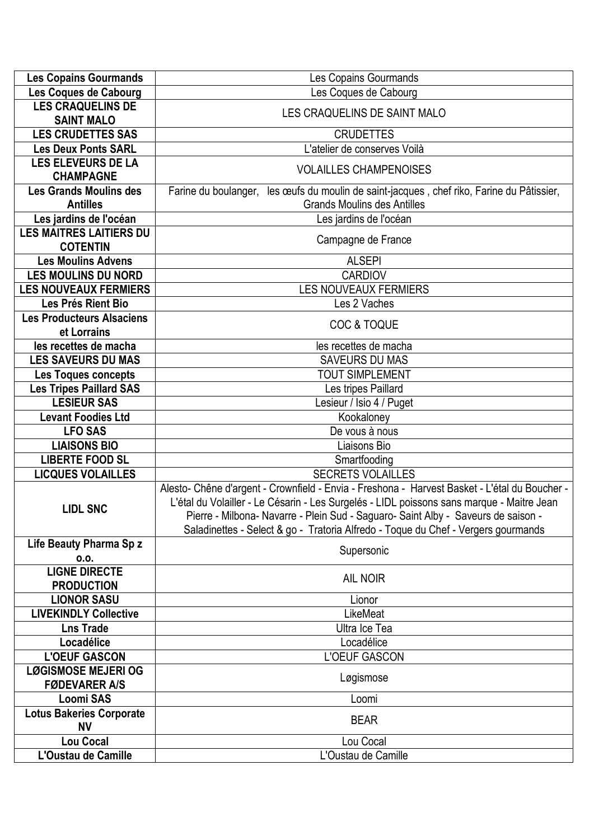| <b>Les Copains Gourmands</b>                     | <b>Les Copains Gourmands</b>                                                                                                                                                                                                                                                                                                                                         |
|--------------------------------------------------|----------------------------------------------------------------------------------------------------------------------------------------------------------------------------------------------------------------------------------------------------------------------------------------------------------------------------------------------------------------------|
| Les Coques de Cabourg                            | Les Coques de Cabourg                                                                                                                                                                                                                                                                                                                                                |
| <b>LES CRAQUELINS DE</b>                         | LES CRAQUELINS DE SAINT MALO                                                                                                                                                                                                                                                                                                                                         |
| <b>SAINT MALO</b>                                |                                                                                                                                                                                                                                                                                                                                                                      |
| <b>LES CRUDETTES SAS</b>                         | <b>CRUDETTES</b>                                                                                                                                                                                                                                                                                                                                                     |
| <b>Les Deux Ponts SARL</b>                       | L'atelier de conserves Voilà                                                                                                                                                                                                                                                                                                                                         |
| <b>LES ELEVEURS DE LA</b><br><b>CHAMPAGNE</b>    | <b>VOLAILLES CHAMPENOISES</b>                                                                                                                                                                                                                                                                                                                                        |
| <b>Les Grands Moulins des</b><br><b>Antilles</b> | Farine du boulanger, les œufs du moulin de saint-jacques, chef riko, Farine du Pâtissier,<br><b>Grands Moulins des Antilles</b>                                                                                                                                                                                                                                      |
| Les jardins de l'océan                           | Les jardins de l'océan                                                                                                                                                                                                                                                                                                                                               |
| <b>LES MAITRES LAITIERS DU</b>                   |                                                                                                                                                                                                                                                                                                                                                                      |
| <b>COTENTIN</b>                                  | Campagne de France                                                                                                                                                                                                                                                                                                                                                   |
| <b>Les Moulins Advens</b>                        | <b>ALSEPI</b>                                                                                                                                                                                                                                                                                                                                                        |
| <b>LES MOULINS DU NORD</b>                       | <b>CARDIOV</b>                                                                                                                                                                                                                                                                                                                                                       |
| <b>LES NOUVEAUX FERMIERS</b>                     | <b>LES NOUVEAUX FERMIERS</b>                                                                                                                                                                                                                                                                                                                                         |
| Les Prés Rient Bio                               | Les 2 Vaches                                                                                                                                                                                                                                                                                                                                                         |
| <b>Les Producteurs Alsaciens</b>                 |                                                                                                                                                                                                                                                                                                                                                                      |
| et Lorrains                                      | <b>COC &amp; TOQUE</b>                                                                                                                                                                                                                                                                                                                                               |
| les recettes de macha                            | les recettes de macha                                                                                                                                                                                                                                                                                                                                                |
| <b>LES SAVEURS DU MAS</b>                        | <b>SAVEURS DU MAS</b>                                                                                                                                                                                                                                                                                                                                                |
| <b>Les Toques concepts</b>                       | <b>TOUT SIMPLEMENT</b>                                                                                                                                                                                                                                                                                                                                               |
| <b>Les Tripes Paillard SAS</b>                   | Les tripes Paillard                                                                                                                                                                                                                                                                                                                                                  |
| <b>LESIEUR SAS</b>                               | Lesieur / Isio 4 / Puget                                                                                                                                                                                                                                                                                                                                             |
| <b>Levant Foodies Ltd</b>                        | Kookaloney                                                                                                                                                                                                                                                                                                                                                           |
| <b>LFO SAS</b>                                   | De vous à nous                                                                                                                                                                                                                                                                                                                                                       |
| <b>LIAISONS BIO</b>                              | Liaisons Bio                                                                                                                                                                                                                                                                                                                                                         |
| <b>LIBERTE FOOD SL</b>                           | Smartfooding                                                                                                                                                                                                                                                                                                                                                         |
| <b>LICQUES VOLAILLES</b>                         | <b>SECRETS VOLAILLES</b>                                                                                                                                                                                                                                                                                                                                             |
| <b>LIDL SNC</b>                                  | Alesto- Chêne d'argent - Crownfield - Envia - Freshona - Harvest Basket - L'étal du Boucher -<br>L'étal du Volailler - Le Césarin - Les Surgelés - LIDL poissons sans marque - Maitre Jean<br>Pierre - Milbona- Navarre - Plein Sud - Saguaro- Saint Alby - Saveurs de saison -<br>Saladinettes - Select & go - Tratoria Alfredo - Toque du Chef - Vergers gourmands |
| Life Beauty Pharma Sp z                          | Supersonic                                                                                                                                                                                                                                                                                                                                                           |
| 0.0.                                             |                                                                                                                                                                                                                                                                                                                                                                      |
| <b>LIGNE DIRECTE</b>                             | <b>AIL NOIR</b>                                                                                                                                                                                                                                                                                                                                                      |
| <b>PRODUCTION</b>                                |                                                                                                                                                                                                                                                                                                                                                                      |
| <b>LIONOR SASU</b>                               | Lionor                                                                                                                                                                                                                                                                                                                                                               |
| <b>LIVEKINDLY Collective</b>                     | LikeMeat                                                                                                                                                                                                                                                                                                                                                             |
| <b>Lns Trade</b>                                 | Ultra Ice Tea                                                                                                                                                                                                                                                                                                                                                        |
| Locadélice                                       | Locadélice                                                                                                                                                                                                                                                                                                                                                           |
| <b>L'OEUF GASCON</b>                             | <b>L'OEUF GASCON</b>                                                                                                                                                                                                                                                                                                                                                 |
| <b>LØGISMOSE MEJERI OG</b>                       | Løgismose                                                                                                                                                                                                                                                                                                                                                            |
| <b>FØDEVARER A/S</b>                             |                                                                                                                                                                                                                                                                                                                                                                      |
| <b>Loomi SAS</b>                                 | Loomi                                                                                                                                                                                                                                                                                                                                                                |
| <b>Lotus Bakeries Corporate</b>                  | <b>BEAR</b>                                                                                                                                                                                                                                                                                                                                                          |
| <b>NV</b>                                        |                                                                                                                                                                                                                                                                                                                                                                      |
| <b>Lou Cocal</b>                                 | Lou Cocal                                                                                                                                                                                                                                                                                                                                                            |
| L'Oustau de Camille                              | L'Oustau de Camille                                                                                                                                                                                                                                                                                                                                                  |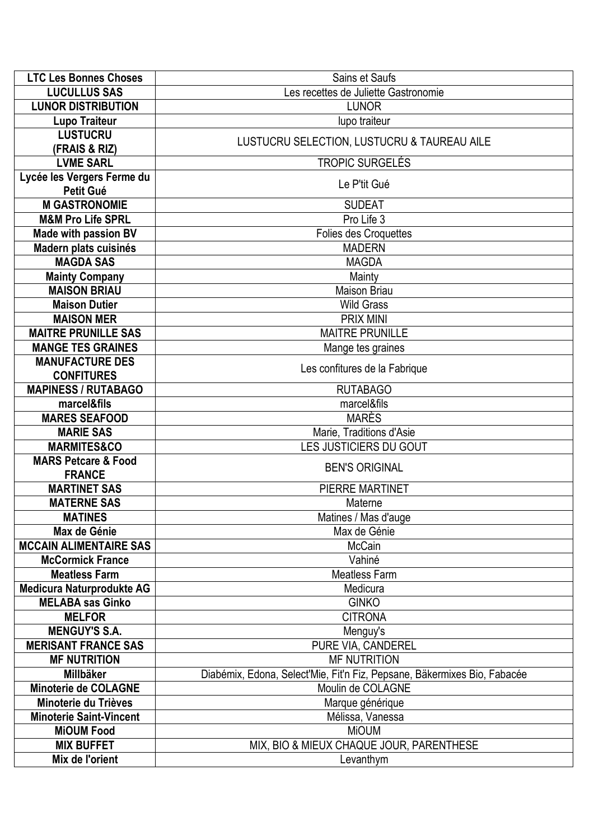| <b>LTC Les Bonnes Choses</b>     | Sains et Saufs                                                           |
|----------------------------------|--------------------------------------------------------------------------|
| <b>LUCULLUS SAS</b>              | Les recettes de Juliette Gastronomie                                     |
| <b>LUNOR DISTRIBUTION</b>        | <b>LUNOR</b>                                                             |
| <b>Lupo Traiteur</b>             | lupo traiteur                                                            |
| <b>LUSTUCRU</b><br>(FRAIS & RIZ) | LUSTUCRU SELECTION, LUSTUCRU & TAUREAU AILE                              |
| <b>LVME SARL</b>                 | <b>TROPIC SURGELÉS</b>                                                   |
| Lycée les Vergers Ferme du       |                                                                          |
| Petit Gué                        | Le P'tit Gué                                                             |
| <b>M GASTRONOMIE</b>             | <b>SUDEAT</b>                                                            |
| <b>M&amp;M Pro Life SPRL</b>     | Pro Life 3                                                               |
| <b>Made with passion BV</b>      | <b>Folies des Croquettes</b>                                             |
| Madern plats cuisinés            | <b>MADERN</b>                                                            |
| <b>MAGDA SAS</b>                 | <b>MAGDA</b>                                                             |
| <b>Mainty Company</b>            | Mainty                                                                   |
| <b>MAISON BRIAU</b>              | <b>Maison Briau</b>                                                      |
| <b>Maison Dutier</b>             | <b>Wild Grass</b>                                                        |
| <b>MAISON MER</b>                | <b>PRIX MINI</b>                                                         |
| <b>MAITRE PRUNILLE SAS</b>       | <b>MAITRE PRUNILLE</b>                                                   |
| <b>MANGE TES GRAINES</b>         | Mange tes graines                                                        |
| <b>MANUFACTURE DES</b>           |                                                                          |
| <b>CONFITURES</b>                | Les confitures de la Fabrique                                            |
| <b>MAPINESS / RUTABAGO</b>       | <b>RUTABAGO</b>                                                          |
| marcel&fils                      | marcel&fils                                                              |
| <b>MARES SEAFOOD</b>             | <b>MARÈS</b>                                                             |
| <b>MARIE SAS</b>                 | Marie, Traditions d'Asie                                                 |
| <b>MARMITES&amp;CO</b>           | LES JUSTICIERS DU GOUT                                                   |
| <b>MARS Petcare &amp; Food</b>   |                                                                          |
| <b>FRANCE</b>                    | <b>BEN'S ORIGINAL</b>                                                    |
| <b>MARTINET SAS</b>              | PIERRE MARTINET                                                          |
| <b>MATERNE SAS</b>               | Materne                                                                  |
| <b>MATINES</b>                   | Matines / Mas d'auge                                                     |
| Max de Génie                     | Max de Génie                                                             |
| <b>MCCAIN ALIMENTAIRE SAS</b>    | <b>McCain</b>                                                            |
| <b>McCormick France</b>          | Vahiné                                                                   |
| <b>Meatless Farm</b>             | <b>Meatless Farm</b>                                                     |
| <b>Medicura Naturprodukte AG</b> | Medicura                                                                 |
| <b>MELABA sas Ginko</b>          | <b>GINKO</b>                                                             |
| <b>MELFOR</b>                    | <b>CITRONA</b>                                                           |
| <b>MENGUY'S S.A.</b>             | Menguy's                                                                 |
| <b>MERISANT FRANCE SAS</b>       | PURE VIA, CANDEREL                                                       |
| <b>MF NUTRITION</b>              | <b>MF NUTRITION</b>                                                      |
| Millbäker                        | Diabémix, Edona, Select'Mie, Fit'n Fiz, Pepsane, Bäkermixes Bio, Fabacée |
| <b>Minoterie de COLAGNE</b>      | Moulin de COLAGNE                                                        |
| Minoterie du Trièves             | Marque générique                                                         |
| <b>Minoterie Saint-Vincent</b>   | Mélissa, Vanessa                                                         |
| <b>MiOUM Food</b>                | <b>MiOUM</b>                                                             |
| <b>MIX BUFFET</b>                | MIX, BIO & MIEUX CHAQUE JOUR, PARENTHESE                                 |
| Mix de l'orient                  | Levanthym                                                                |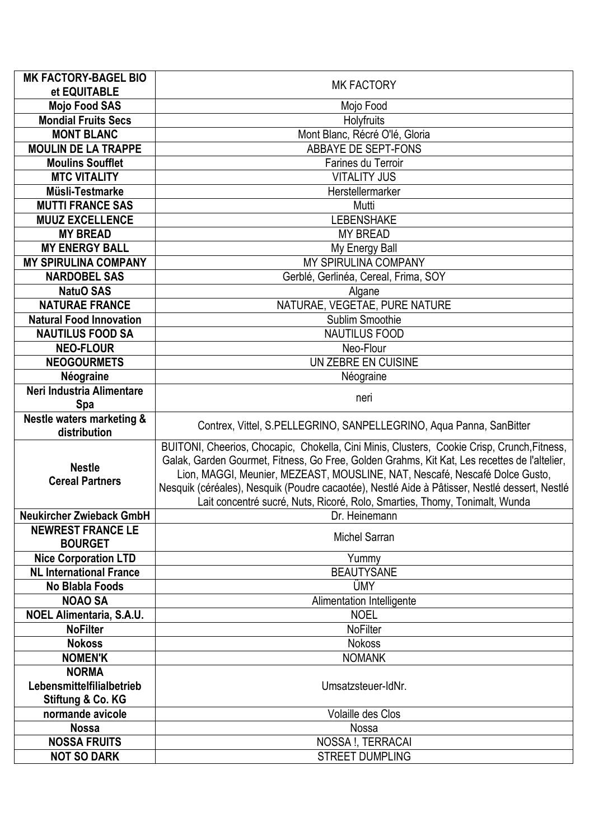| <b>MK FACTORY-BAGEL BIO</b>                | <b>MK FACTORY</b>                                                                             |
|--------------------------------------------|-----------------------------------------------------------------------------------------------|
| et EQUITABLE                               |                                                                                               |
| <b>Mojo Food SAS</b>                       | Mojo Food                                                                                     |
| <b>Mondial Fruits Secs</b>                 | Holyfruits                                                                                    |
| <b>MONT BLANC</b>                          | Mont Blanc, Récré O'lé, Gloria                                                                |
| <b>MOULIN DE LA TRAPPE</b>                 | ABBAYE DE SEPT-FONS                                                                           |
| <b>Moulins Soufflet</b>                    | Farines du Terroir                                                                            |
| <b>MTC VITALITY</b>                        | <b>VITALITY JUS</b>                                                                           |
| Müsli-Testmarke                            | Herstellermarker                                                                              |
| <b>MUTTI FRANCE SAS</b>                    | Mutti                                                                                         |
| <b>MUUZ EXCELLENCE</b>                     | <b>LEBENSHAKE</b>                                                                             |
| <b>MY BREAD</b>                            | <b>MY BREAD</b>                                                                               |
| <b>MY ENERGY BALL</b>                      | My Energy Ball                                                                                |
| <b>MY SPIRULINA COMPANY</b>                | MY SPIRULINA COMPANY                                                                          |
| <b>NARDOBEL SAS</b>                        | Gerblé, Gerlinéa, Cereal, Frima, SOY                                                          |
| <b>NatuO SAS</b>                           | Algane                                                                                        |
| <b>NATURAE FRANCE</b>                      | NATURAE, VEGETAE, PURE NATURE                                                                 |
| <b>Natural Food Innovation</b>             | Sublim Smoothie<br><b>NAUTILUS FOOD</b>                                                       |
| <b>NAUTILUS FOOD SA</b>                    |                                                                                               |
| <b>NEO-FLOUR</b><br><b>NEOGOURMETS</b>     | Neo-Flour<br>UN ZEBRE EN CUISINE                                                              |
|                                            |                                                                                               |
| Néograine<br>Neri Industria Alimentare     | Néograine                                                                                     |
| Spa                                        | neri                                                                                          |
| Nestle waters marketing &                  |                                                                                               |
| distribution                               | Contrex, Vittel, S.PELLEGRINO, SANPELLEGRINO, Aqua Panna, SanBitter                           |
|                                            | BUITONI, Cheerios, Chocapic, Chokella, Cini Minis, Clusters, Cookie Crisp, Crunch, Fitness,   |
|                                            | Galak, Garden Gourmet, Fitness, Go Free, Golden Grahms, Kit Kat, Les recettes de l'altelier,  |
| <b>Nestle</b>                              | Lion, MAGGI, Meunier, MEZEAST, MOUSLINE, NAT, Nescafé, Nescafé Dolce Gusto,                   |
| <b>Cereal Partners</b>                     | Nesquik (céréales), Nesquik (Poudre cacaotée), Nestlé Aide à Pâtisser, Nestlé dessert, Nestlé |
|                                            | Lait concentré sucré, Nuts, Ricoré, Rolo, Smarties, Thomy, Tonimalt, Wunda                    |
| <b>Neukircher Zwieback GmbH</b>            | Dr. Heinemann                                                                                 |
| <b>NEWREST FRANCE LE</b><br><b>BOURGET</b> | <b>Michel Sarran</b>                                                                          |
| <b>Nice Corporation LTD</b>                | Yummy                                                                                         |
| <b>NL International France</b>             | <b>BEAUTYSANE</b>                                                                             |
| <b>No Blabla Foods</b>                     | ÜMY                                                                                           |
| <b>NOAO SA</b>                             | Alimentation Intelligente                                                                     |
| <b>NOEL Alimentaria, S.A.U.</b>            | <b>NOEL</b>                                                                                   |
| <b>NoFilter</b>                            | <b>NoFilter</b>                                                                               |
| <b>Nokoss</b>                              | <b>Nokoss</b>                                                                                 |
| <b>NOMEN'K</b>                             | <b>NOMANK</b>                                                                                 |
| <b>NORMA</b>                               |                                                                                               |
|                                            |                                                                                               |
| Lebensmittelfilialbetrieb                  | Umsatzsteuer-IdNr.                                                                            |
| Stiftung & Co. KG                          |                                                                                               |
| normande avicole                           | Volaille des Clos                                                                             |
| <b>Nossa</b>                               | Nossa                                                                                         |
| <b>NOSSA FRUITS</b>                        | NOSSA !, TERRACAI                                                                             |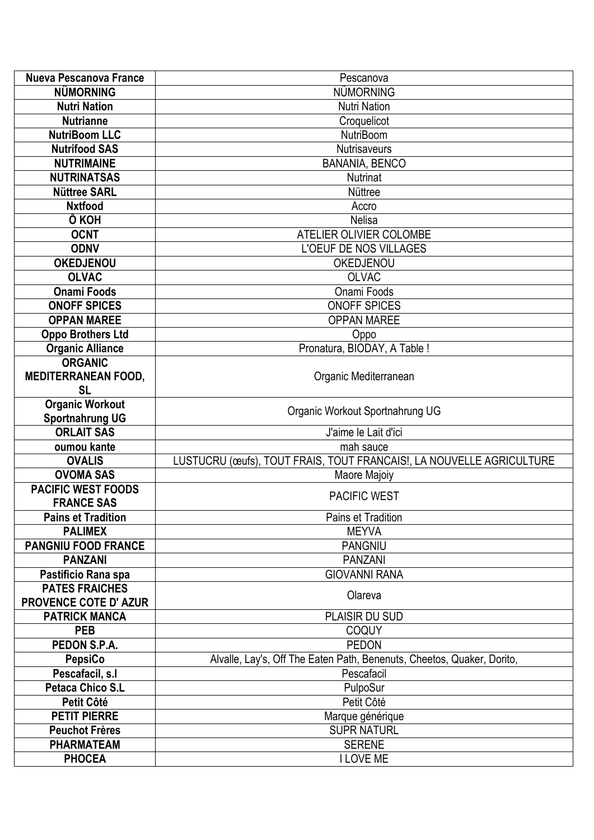| <b>Nueva Pescanova France</b>                | Pescanova                                                              |
|----------------------------------------------|------------------------------------------------------------------------|
| <b>NÜMORNING</b>                             | <b>NÜMORNING</b>                                                       |
| <b>Nutri Nation</b>                          | <b>Nutri Nation</b>                                                    |
| <b>Nutrianne</b>                             | Croquelicot                                                            |
| <b>NutriBoom LLC</b>                         | <b>NutriBoom</b>                                                       |
| <b>Nutrifood SAS</b>                         | Nutrisaveurs                                                           |
| <b>NUTRIMAINE</b>                            | <b>BANANIA, BENCO</b>                                                  |
| <b>NUTRINATSAS</b>                           | <b>Nutrinat</b>                                                        |
| <b>Nüttree SARL</b>                          | Nüttree                                                                |
| <b>Nxtfood</b>                               | Accro                                                                  |
| Ô KOH                                        | <b>Nelisa</b>                                                          |
| <b>OCNT</b>                                  | ATELIER OLIVIER COLOMBE                                                |
| <b>ODNV</b>                                  | L'OEUF DE NOS VILLAGES                                                 |
| <b>OKEDJENOU</b>                             | OKEDJENOU                                                              |
| <b>OLVAC</b>                                 | <b>OLVAC</b>                                                           |
| <b>Onami Foods</b>                           | Onami Foods                                                            |
| <b>ONOFF SPICES</b>                          | <b>ONOFF SPICES</b>                                                    |
| <b>OPPAN MAREE</b>                           | <b>OPPAN MAREE</b>                                                     |
| <b>Oppo Brothers Ltd</b>                     | Oppo                                                                   |
| <b>Organic Alliance</b>                      | Pronatura, BIODAY, A Table !                                           |
| <b>ORGANIC</b>                               |                                                                        |
| <b>MEDITERRANEAN FOOD,</b>                   | Organic Mediterranean                                                  |
| <b>SL</b>                                    |                                                                        |
| <b>Organic Workout</b>                       | Organic Workout Sportnahrung UG                                        |
| <b>Sportnahrung UG</b>                       |                                                                        |
| <b>ORLAIT SAS</b>                            | J'aime le Lait d'ici                                                   |
| oumou kante                                  | mah sauce                                                              |
| <b>OVALIS</b>                                | LUSTUCRU (œufs), TOUT FRAIS, TOUT FRANCAIS!, LA NOUVELLE AGRICULTURE   |
| <b>OVOMA SAS</b>                             | Maore Majoiy                                                           |
| <b>PACIFIC WEST FOODS</b>                    | <b>PACIFIC WEST</b>                                                    |
| <b>FRANCE SAS</b>                            |                                                                        |
| <b>Pains et Tradition</b>                    | Pains et Tradition                                                     |
| <b>PALIMEX</b>                               | <b>MEYVA</b>                                                           |
| <b>PANGNIU FOOD FRANCE</b>                   | <b>PANGNIU</b>                                                         |
| <b>PANZANI</b>                               | <b>PANZANI</b>                                                         |
| Pastificio Rana spa<br><b>PATES FRAICHES</b> | <b>GIOVANNI RANA</b>                                                   |
| <b>PROVENCE COTE D' AZUR</b>                 | Olareva                                                                |
| <b>PATRICK MANCA</b>                         | PLAISIR DU SUD                                                         |
| <b>PEB</b>                                   | <b>COQUY</b>                                                           |
| PEDON S.P.A.                                 | <b>PEDON</b>                                                           |
| PepsiCo                                      | Alvalle, Lay's, Off The Eaten Path, Benenuts, Cheetos, Quaker, Dorito, |
| Pescafacil, s.l                              | Pescafacil                                                             |
| <b>Petaca Chico S.L</b>                      | PulpoSur                                                               |
| Petit Côté                                   | Petit Côté                                                             |
| <b>PETIT PIERRE</b>                          | Marque générique                                                       |
| <b>Peuchot Frères</b>                        | <b>SUPR NATURL</b>                                                     |
| <b>PHARMATEAM</b>                            | <b>SERENE</b>                                                          |
| <b>PHOCEA</b>                                | <b>I LOVE ME</b>                                                       |
|                                              |                                                                        |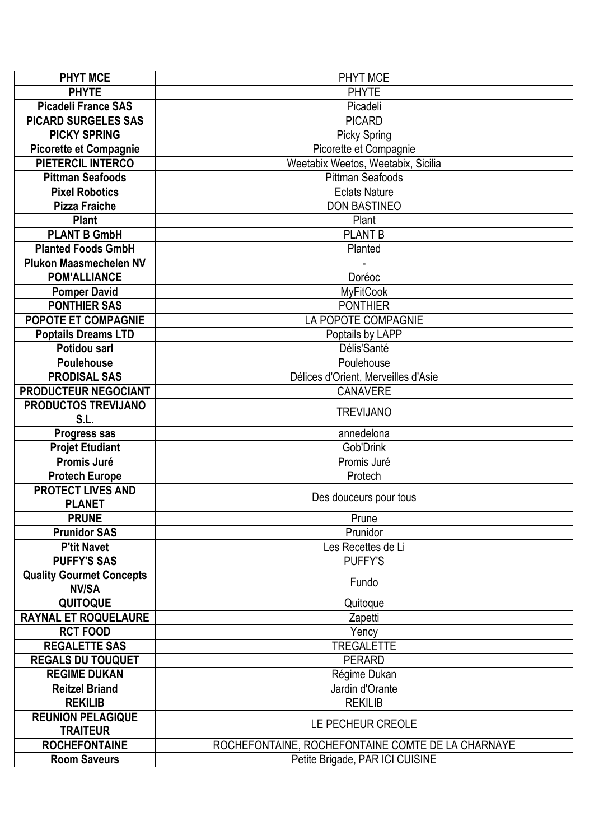| <b>PHYT MCE</b>                             | PHYT MCE                                          |
|---------------------------------------------|---------------------------------------------------|
| <b>PHYTE</b>                                | <b>PHYTE</b>                                      |
| <b>Picadeli France SAS</b>                  | Picadeli                                          |
| <b>PICARD SURGELES SAS</b>                  | <b>PICARD</b>                                     |
| <b>PICKY SPRING</b>                         | <b>Picky Spring</b>                               |
| <b>Picorette et Compagnie</b>               | Picorette et Compagnie                            |
| <b>PIETERCIL INTERCO</b>                    | Weetabix Weetos, Weetabix, Sicilia                |
| <b>Pittman Seafoods</b>                     | <b>Pittman Seafoods</b>                           |
| <b>Pixel Robotics</b>                       | <b>Eclats Nature</b>                              |
| <b>Pizza Fraiche</b>                        | <b>DON BASTINEO</b>                               |
| <b>Plant</b>                                | Plant                                             |
| <b>PLANT B GmbH</b>                         | <b>PLANT B</b>                                    |
| <b>Planted Foods GmbH</b>                   | Planted                                           |
| <b>Plukon Maasmechelen NV</b>               |                                                   |
| <b>POM'ALLIANCE</b>                         | Doréoc                                            |
| <b>Pomper David</b>                         | MyFitCook                                         |
| <b>PONTHIER SAS</b>                         | <b>PONTHIER</b>                                   |
| <b>POPOTE ET COMPAGNIE</b>                  | LA POPOTE COMPAGNIE                               |
| <b>Poptails Dreams LTD</b>                  | Poptails by LAPP                                  |
| Potidou sarl                                | Délis'Santé                                       |
| <b>Poulehouse</b>                           | Poulehouse                                        |
| <b>PRODISAL SAS</b>                         | Délices d'Orient, Merveilles d'Asie               |
| PRODUCTEUR NEGOCIANT                        | <b>CANAVERE</b>                                   |
| PRODUCTOS TREVIJANO                         |                                                   |
| S.L.                                        | <b>TREVIJANO</b>                                  |
| Progress sas                                | annedelona                                        |
| <b>Projet Etudiant</b>                      | Gob'Drink                                         |
| Promis Juré                                 | Promis Juré                                       |
| <b>Protech Europe</b>                       | Protech                                           |
| <b>PROTECT LIVES AND</b>                    | Des douceurs pour tous                            |
| <b>PLANET</b>                               |                                                   |
| <b>PRUNE</b>                                | Prune                                             |
| <b>Prunidor SAS</b>                         | Prunidor                                          |
| <b>P'tit Navet</b>                          | Les Recettes de Li                                |
| <b>PUFFY'S SAS</b>                          | <b>PUFFY'S</b>                                    |
| <b>Quality Gourmet Concepts</b>             | Fundo                                             |
| <b>NV/SA</b>                                |                                                   |
| <b>QUITOQUE</b>                             | Quitoque                                          |
| <b>RAYNAL ET ROQUELAURE</b>                 | Zapetti                                           |
| <b>RCT FOOD</b>                             | Yency                                             |
| <b>REGALETTE SAS</b>                        | <b>TREGALETTE</b>                                 |
| <b>REGALS DU TOUQUET</b>                    | <b>PERARD</b>                                     |
| <b>REGIME DUKAN</b>                         | Régime Dukan                                      |
| <b>Reitzel Briand</b>                       | Jardin d'Orante                                   |
| <b>REKILIB</b>                              | <b>REKILIB</b>                                    |
| <b>REUNION PELAGIQUE</b><br><b>TRAITEUR</b> | LE PECHEUR CREOLE                                 |
| <b>ROCHEFONTAINE</b>                        | ROCHEFONTAINE, ROCHEFONTAINE COMTE DE LA CHARNAYE |
| <b>Room Saveurs</b>                         | Petite Brigade, PAR ICI CUISINE                   |
|                                             |                                                   |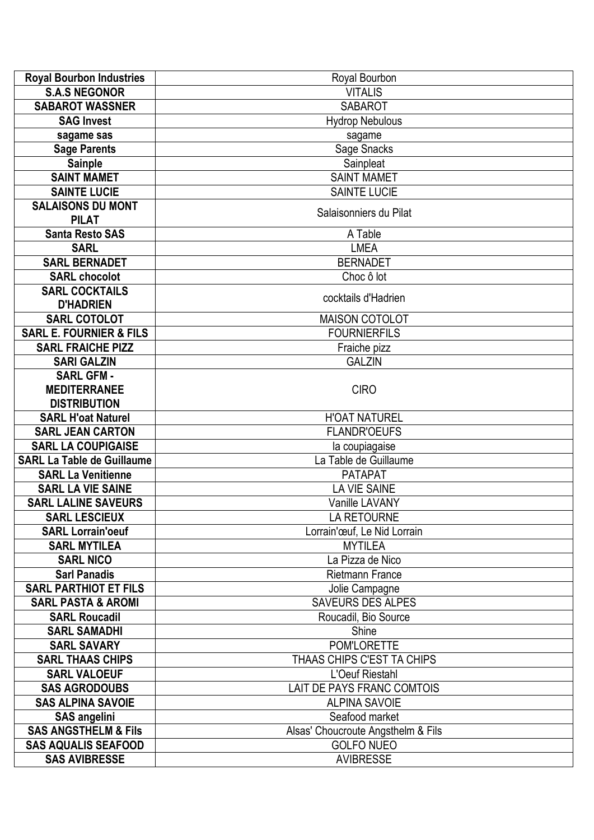| <b>Royal Bourbon Industries</b>    | Royal Bourbon                      |
|------------------------------------|------------------------------------|
| <b>S.A.S NEGONOR</b>               | <b>VITALIS</b>                     |
| <b>SABAROT WASSNER</b>             | <b>SABAROT</b>                     |
| <b>SAG Invest</b>                  | <b>Hydrop Nebulous</b>             |
| sagame sas                         | sagame                             |
| <b>Sage Parents</b>                | Sage Snacks                        |
| <b>Sainple</b>                     | Sainpleat                          |
| <b>SAINT MAMET</b>                 | <b>SAINT MAMET</b>                 |
| <b>SAINTE LUCIE</b>                | <b>SAINTE LUCIE</b>                |
| <b>SALAISONS DU MONT</b>           | Salaisonniers du Pilat             |
| <b>PILAT</b>                       |                                    |
| <b>Santa Resto SAS</b>             | A Table                            |
| <b>SARL</b>                        | <b>LMEA</b>                        |
| <b>SARL BERNADET</b>               | <b>BERNADET</b>                    |
| <b>SARL chocolot</b>               | Choc ô lot                         |
| <b>SARL COCKTAILS</b>              | cocktails d'Hadrien                |
| <b>D'HADRIEN</b>                   |                                    |
| <b>SARL COTOLOT</b>                | <b>MAISON COTOLOT</b>              |
| <b>SARL E. FOURNIER &amp; FILS</b> | <b>FOURNIERFILS</b>                |
| <b>SARL FRAICHE PIZZ</b>           | Fraiche pizz                       |
| <b>SARI GALZIN</b>                 | <b>GALZIN</b>                      |
| <b>SARL GFM -</b>                  |                                    |
| <b>MEDITERRANEE</b>                | <b>CIRO</b>                        |
| <b>DISTRIBUTION</b>                |                                    |
| <b>SARL H'oat Naturel</b>          | <b>H'OAT NATUREL</b>               |
| <b>SARL JEAN CARTON</b>            | <b>FLANDR'OEUFS</b>                |
| <b>SARL LA COUPIGAISE</b>          | la coupiagaise                     |
| <b>SARL La Table de Guillaume</b>  | La Table de Guillaume              |
| <b>SARL La Venitienne</b>          | <b>PATAPAT</b>                     |
| <b>SARL LA VIE SAINE</b>           | <b>LA VIE SAINE</b>                |
| <b>SARL LALINE SAVEURS</b>         | Vanille LAVANY                     |
| <b>SARL LESCIEUX</b>               | LA RETOURNE                        |
| <b>SARL Lorrain'oeuf</b>           | Lorrain'œuf, Le Nid Lorrain        |
| <b>SARL MYTILEA</b>                | <b>MYTILEA</b>                     |
| <b>SARL NICO</b>                   | La Pizza de Nico                   |
| <b>Sarl Panadis</b>                | <b>Rietmann France</b>             |
| <b>SARL PARTHIOT ET FILS</b>       | Jolie Campagne                     |
| <b>SARL PASTA &amp; AROMI</b>      | SAVEURS DES ALPES                  |
| <b>SARL Roucadil</b>               | Roucadil, Bio Source               |
| <b>SARL SAMADHI</b>                | Shine                              |
| <b>SARL SAVARY</b>                 | POM'LORETTE                        |
| <b>SARL THAAS CHIPS</b>            | THAAS CHIPS C'EST TA CHIPS         |
| <b>SARL VALOEUF</b>                | L'Oeuf Riestahl                    |
| <b>SAS AGRODOUBS</b>               | LAIT DE PAYS FRANC COMTOIS         |
| <b>SAS ALPINA SAVOIE</b>           | <b>ALPINA SAVOIE</b>               |
| <b>SAS angelini</b>                | Seafood market                     |
| <b>SAS ANGSTHELM &amp; Fils</b>    | Alsas' Choucroute Angsthelm & Fils |
| <b>SAS AQUALIS SEAFOOD</b>         | <b>GOLFO NUEO</b>                  |
| <b>SAS AVIBRESSE</b>               | <b>AVIBRESSE</b>                   |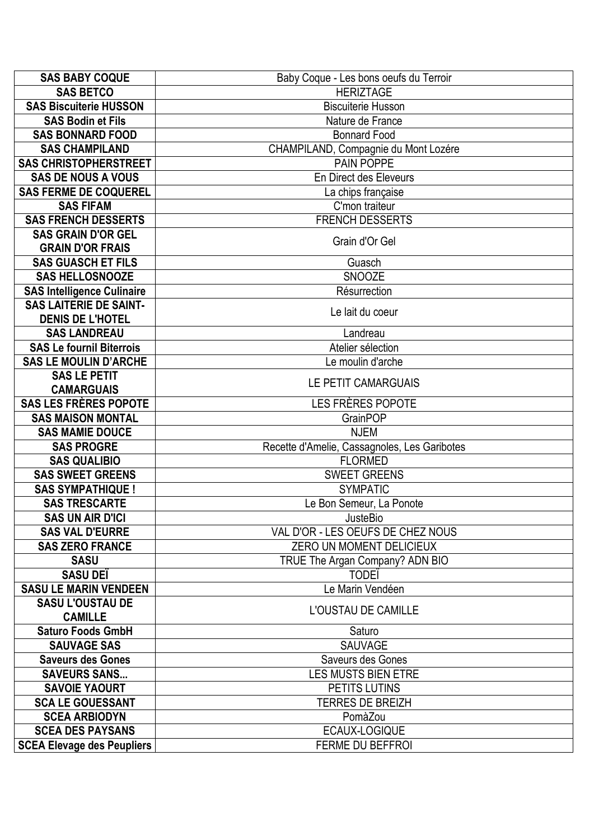| <b>SAS BABY COQUE</b>             | Baby Coque - Les bons oeufs du Terroir       |
|-----------------------------------|----------------------------------------------|
| <b>SAS BETCO</b>                  | <b>HERIZTAGE</b>                             |
| <b>SAS Biscuiterie HUSSON</b>     | <b>Biscuiterie Husson</b>                    |
| <b>SAS Bodin et Fils</b>          | Nature de France                             |
| <b>SAS BONNARD FOOD</b>           | <b>Bonnard Food</b>                          |
| <b>SAS CHAMPILAND</b>             | CHAMPILAND, Compagnie du Mont Lozére         |
| <b>SAS CHRISTOPHERSTREET</b>      | <b>PAIN POPPE</b>                            |
| <b>SAS DE NOUS A VOUS</b>         | En Direct des Eleveurs                       |
| <b>SAS FERME DE COQUEREL</b>      | La chips française                           |
| <b>SAS FIFAM</b>                  | C'mon traiteur                               |
| <b>SAS FRENCH DESSERTS</b>        | <b>FRENCH DESSERTS</b>                       |
| <b>SAS GRAIN D'OR GEL</b>         |                                              |
| <b>GRAIN D'OR FRAIS</b>           | Grain d'Or Gel                               |
| <b>SAS GUASCH ET FILS</b>         | Guasch                                       |
| <b>SAS HELLOSNOOZE</b>            | <b>SNOOZE</b>                                |
| <b>SAS Intelligence Culinaire</b> | Résurrection                                 |
| <b>SAS LAITERIE DE SAINT-</b>     | Le lait du coeur                             |
| <b>DENIS DE L'HOTEL</b>           |                                              |
| <b>SAS LANDREAU</b>               | Landreau                                     |
| <b>SAS Le fournil Biterrois</b>   | Atelier sélection                            |
| <b>SAS LE MOULIN D'ARCHE</b>      | Le moulin d'arche                            |
| <b>SAS LE PETIT</b>               | LE PETIT CAMARGUAIS                          |
| <b>CAMARGUAIS</b>                 |                                              |
| <b>SAS LES FRÈRES POPOTE</b>      | LES FRÈRES POPOTE                            |
| <b>SAS MAISON MONTAL</b>          | <b>GrainPOP</b>                              |
| <b>SAS MAMIE DOUCE</b>            | <b>NJEM</b>                                  |
| <b>SAS PROGRE</b>                 | Recette d'Amelie, Cassagnoles, Les Garibotes |
| <b>SAS QUALIBIO</b>               | <b>FLORMED</b>                               |
| <b>SAS SWEET GREENS</b>           | <b>SWEET GREENS</b>                          |
| <b>SAS SYMPATHIQUE!</b>           | <b>SYMPATIC</b>                              |
| <b>SAS TRESCARTE</b>              | Le Bon Semeur, La Ponote                     |
| <b>SAS UN AIR D'ICI</b>           | JusteBio                                     |
| <b>SAS VAL D'EURRE</b>            | VAL D'OR - LES OEUFS DE CHEZ NOUS            |
| <b>SAS ZERO FRANCE</b>            | ZERO UN MOMENT DELICIEUX                     |
| <b>SASU</b>                       | TRUE The Argan Company? ADN BIO              |
| <b>SASU DEÏ</b>                   | <b>TODEI</b>                                 |
| <b>SASU LE MARIN VENDEEN</b>      | Le Marin Vendéen                             |
| <b>SASU L'OUSTAU DE</b>           | L'OUSTAU DE CAMILLE                          |
| <b>CAMILLE</b>                    |                                              |
| <b>Saturo Foods GmbH</b>          | Saturo                                       |
| <b>SAUVAGE SAS</b>                | <b>SAUVAGE</b>                               |
| <b>Saveurs des Gones</b>          | Saveurs des Gones                            |
| <b>SAVEURS SANS</b>               | LES MUSTS BIEN ETRE                          |
| <b>SAVOIE YAOURT</b>              | PETITS LUTINS                                |
| <b>SCA LE GOUESSANT</b>           | <b>TERRES DE BREIZH</b>                      |
| <b>SCEA ARBIODYN</b>              | PomàZou                                      |
| <b>SCEA DES PAYSANS</b>           | ECAUX-LOGIQUE                                |
| <b>SCEA Elevage des Peupliers</b> | FERME DU BEFFROI                             |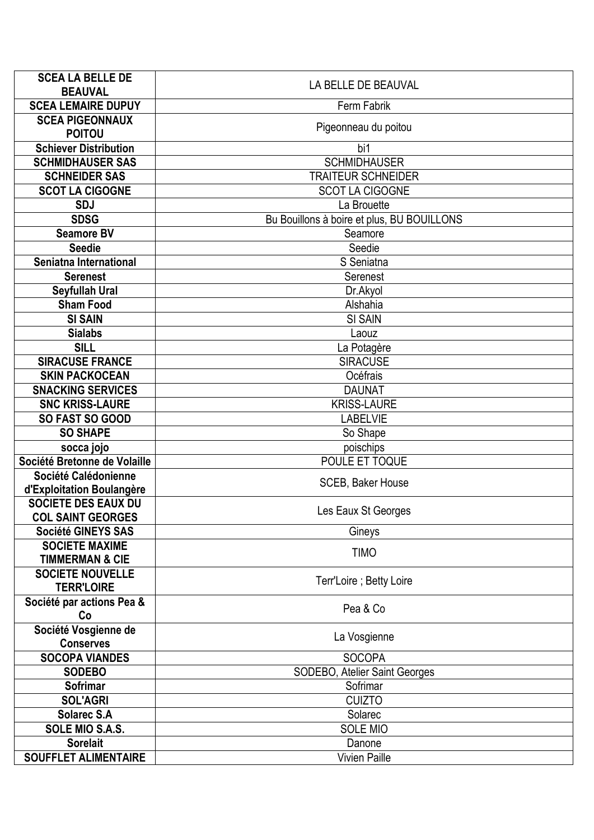| <b>SCEA LA BELLE DE</b>                             | LA BELLE DE BEAUVAL                        |
|-----------------------------------------------------|--------------------------------------------|
| <b>BEAUVAL</b>                                      |                                            |
| <b>SCEA LEMAIRE DUPUY</b>                           | Ferm Fabrik                                |
| <b>SCEA PIGEONNAUX</b><br><b>POITOU</b>             | Pigeonneau du poitou                       |
| <b>Schiever Distribution</b>                        | bi1                                        |
| <b>SCHMIDHAUSER SAS</b>                             | <b>SCHMIDHAUSER</b>                        |
| <b>SCHNEIDER SAS</b>                                | <b>TRAITEUR SCHNEIDER</b>                  |
| <b>SCOT LA CIGOGNE</b>                              | <b>SCOT LA CIGOGNE</b>                     |
| <b>SDJ</b>                                          | La Brouette                                |
| <b>SDSG</b>                                         | Bu Bouillons à boire et plus, BU BOUILLONS |
| <b>Seamore BV</b>                                   | Seamore                                    |
| <b>Seedie</b>                                       | Seedie                                     |
| Seniatna International                              | S Seniatna                                 |
| <b>Serenest</b>                                     | Serenest                                   |
| <b>Seyfullah Ural</b>                               | Dr.Akyol                                   |
| <b>Sham Food</b>                                    | Alshahia                                   |
| <b>SI SAIN</b>                                      | <b>SI SAIN</b>                             |
| <b>Sialabs</b>                                      | Laouz                                      |
| <b>SILL</b>                                         | La Potagère                                |
| <b>SIRACUSE FRANCE</b>                              | <b>SIRACUSE</b>                            |
| <b>SKIN PACKOCEAN</b>                               | Océfrais                                   |
| <b>SNACKING SERVICES</b>                            | <b>DAUNAT</b>                              |
| <b>SNC KRISS-LAURE</b>                              | <b>KRISS-LAURE</b>                         |
| SO FAST SO GOOD                                     | <b>LABELVIE</b>                            |
| <b>SO SHAPE</b>                                     | So Shape                                   |
| socca jojo                                          | poischips                                  |
| Société Bretonne de Volaille                        | POULE ET TOQUE                             |
| Société Calédonienne                                | <b>SCEB, Baker House</b>                   |
| d'Exploitation Boulangère                           |                                            |
| <b>SOCIETE DES EAUX DU</b>                          | Les Eaux St Georges                        |
| <b>COL SAINT GEORGES</b>                            |                                            |
| Société GINEYS SAS                                  | Gineys                                     |
| <b>SOCIETE MAXIME</b><br><b>TIMMERMAN &amp; CIE</b> | <b>TIMO</b>                                |
| <b>SOCIETE NOUVELLE</b>                             |                                            |
| <b>TERR'LOIRE</b>                                   | Terr'Loire; Betty Loire                    |
| Société par actions Pea &                           |                                            |
| Co                                                  | Pea & Co                                   |
| Société Vosgienne de                                |                                            |
| <b>Conserves</b>                                    | La Vosgienne                               |
| <b>SOCOPA VIANDES</b>                               | <b>SOCOPA</b>                              |
| <b>SODEBO</b>                                       | SODEBO, Atelier Saint Georges              |
| Sofrimar                                            | Sofrimar                                   |
| <b>SOL'AGRI</b>                                     | <b>CUIZTO</b>                              |
| <b>Solarec S.A</b>                                  | Solarec                                    |
| SOLE MIO S.A.S.                                     | <b>SOLE MIO</b>                            |
| <b>Sorelait</b>                                     | Danone                                     |
| SOUFFLET ALIMENTAIRE                                | Vivien Paille                              |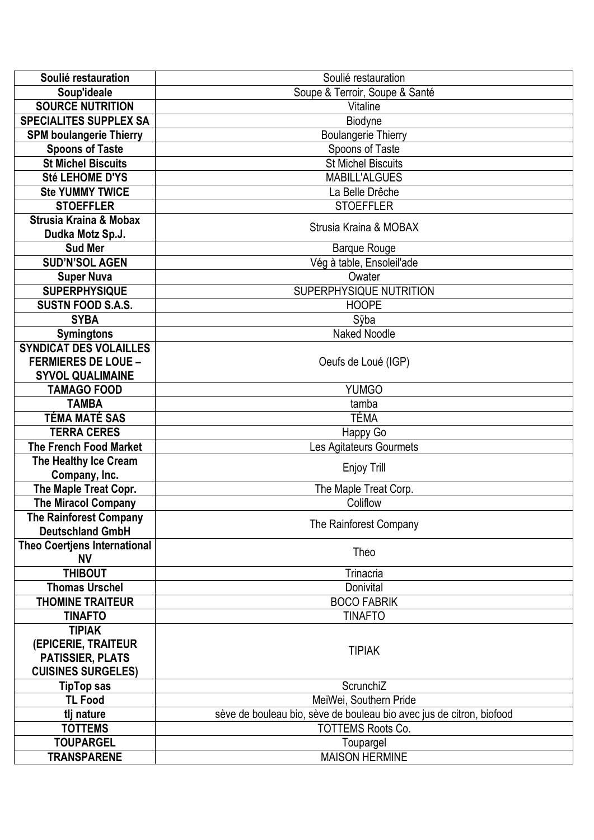| Soulié restauration                 | Soulié restauration                                                  |
|-------------------------------------|----------------------------------------------------------------------|
| Soup'ideale                         | Soupe & Terroir, Soupe & Santé                                       |
| <b>SOURCE NUTRITION</b>             | Vitaline                                                             |
| <b>SPECIALITES SUPPLEX SA</b>       | Biodyne                                                              |
| <b>SPM boulangerie Thierry</b>      | Boulangerie Thierry                                                  |
| <b>Spoons of Taste</b>              | Spoons of Taste                                                      |
| <b>St Michel Biscuits</b>           | St Michel Biscuits                                                   |
| Sté LEHOME D'YS                     | <b>MABILL'ALGUES</b>                                                 |
| <b>Ste YUMMY TWICE</b>              | La Belle Drêche                                                      |
| <b>STOEFFLER</b>                    | <b>STOEFFLER</b>                                                     |
| <b>Strusia Kraina &amp; Mobax</b>   |                                                                      |
| Dudka Motz Sp.J.                    | Strusia Kraina & MOBAX                                               |
| <b>Sud Mer</b>                      | <b>Barque Rouge</b>                                                  |
| <b>SUD'N'SOL AGEN</b>               | Vég à table, Ensoleil'ade                                            |
| <b>Super Nuva</b>                   | Owater                                                               |
| <b>SUPERPHYSIQUE</b>                | SUPERPHYSIQUE NUTRITION                                              |
| <b>SUSTN FOOD S.A.S.</b>            | <b>HOOPE</b>                                                         |
| <b>SYBA</b>                         | Sÿba                                                                 |
| <b>Symingtons</b>                   | <b>Naked Noodle</b>                                                  |
| <b>SYNDICAT DES VOLAILLES</b>       |                                                                      |
| <b>FERMIERES DE LOUE -</b>          | Oeufs de Loué (IGP)                                                  |
| <b>SYVOL QUALIMAINE</b>             |                                                                      |
| <b>TAMAGO FOOD</b>                  | <b>YUMGO</b>                                                         |
| <b>TAMBA</b>                        | tamba                                                                |
| TÉMA MATÉ SAS                       | TÉMA                                                                 |
| <b>TERRA CERES</b>                  | Happy Go                                                             |
| <b>The French Food Market</b>       | Les Agitateurs Gourmets                                              |
| The Healthy Ice Cream               |                                                                      |
| Company, Inc.                       | Enjoy Trill                                                          |
| The Maple Treat Copr.               | The Maple Treat Corp.                                                |
| <b>The Miracol Company</b>          | Coliflow                                                             |
| The Rainforest Company              |                                                                      |
| <b>Deutschland GmbH</b>             | The Rainforest Company                                               |
| <b>Theo Coertjens International</b> |                                                                      |
| <b>NV</b>                           | Theo                                                                 |
| <b>THIBOUT</b>                      | Trinacria                                                            |
| <b>Thomas Urschel</b>               | Donivital                                                            |
| <b>THOMINE TRAITEUR</b>             | <b>BOCO FABRIK</b>                                                   |
| <b>TINAFTO</b>                      | <b>TINAFTO</b>                                                       |
| <b>TIPIAK</b>                       |                                                                      |
| (EPICERIE, TRAITEUR                 |                                                                      |
| <b>PATISSIER, PLATS</b>             | <b>TIPIAK</b>                                                        |
| <b>CUISINES SURGELES)</b>           |                                                                      |
| <b>TipTop sas</b>                   | ScrunchiZ                                                            |
| <b>TL Food</b>                      | MeiWei, Southern Pride                                               |
| tlj nature                          | sève de bouleau bio, sève de bouleau bio avec jus de citron, biofood |
| <b>TOTTEMS</b>                      | <b>TOTTEMS Roots Co.</b>                                             |
| <b>TOUPARGEL</b>                    | Toupargel                                                            |
| <b>TRANSPARENE</b>                  | <b>MAISON HERMINE</b>                                                |